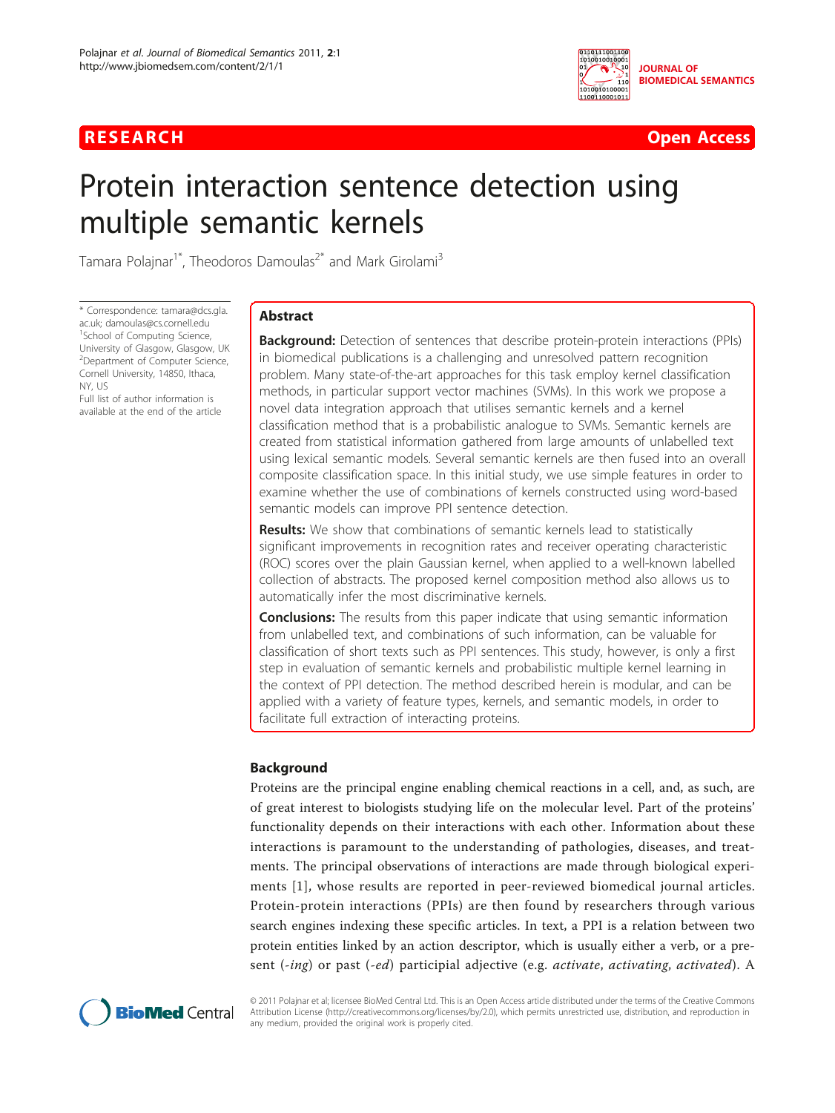

**RESEARCH Open Access** 

# Protein interaction sentence detection using multiple semantic kernels

Tamara Polajnar<sup>1\*</sup>, Theodoros Damoulas<sup>2\*</sup> and Mark Girolami<sup>3</sup>

\* Correspondence: [tamara@dcs.gla.](mailto:tamara@dcs.gla.ac.uk) [ac.uk;](mailto:tamara@dcs.gla.ac.uk) [damoulas@cs.cornell.edu](mailto:damoulas@cs.cornell.edu) <sup>1</sup>School of Computing Science, University of Glasgow, Glasgow, UK 2 Department of Computer Science, Cornell University, 14850, Ithaca, NY, US

Full list of author information is available at the end of the article

# Abstract

**Background:** Detection of sentences that describe protein-protein interactions (PPIs) in biomedical publications is a challenging and unresolved pattern recognition problem. Many state-of-the-art approaches for this task employ kernel classification methods, in particular support vector machines (SVMs). In this work we propose a novel data integration approach that utilises semantic kernels and a kernel classification method that is a probabilistic analogue to SVMs. Semantic kernels are created from statistical information gathered from large amounts of unlabelled text using lexical semantic models. Several semantic kernels are then fused into an overall composite classification space. In this initial study, we use simple features in order to examine whether the use of combinations of kernels constructed using word-based semantic models can improve PPI sentence detection.

**Results:** We show that combinations of semantic kernels lead to statistically significant improvements in recognition rates and receiver operating characteristic (ROC) scores over the plain Gaussian kernel, when applied to a well-known labelled collection of abstracts. The proposed kernel composition method also allows us to automatically infer the most discriminative kernels.

**Conclusions:** The results from this paper indicate that using semantic information from unlabelled text, and combinations of such information, can be valuable for classification of short texts such as PPI sentences. This study, however, is only a first step in evaluation of semantic kernels and probabilistic multiple kernel learning in the context of PPI detection. The method described herein is modular, and can be applied with a variety of feature types, kernels, and semantic models, in order to facilitate full extraction of interacting proteins.

# Background

Proteins are the principal engine enabling chemical reactions in a cell, and, as such, are of great interest to biologists studying life on the molecular level. Part of the proteins' functionality depends on their interactions with each other. Information about these interactions is paramount to the understanding of pathologies, diseases, and treatments. The principal observations of interactions are made through biological experiments [[1\]](#page-14-0), whose results are reported in peer-reviewed biomedical journal articles. Protein-protein interactions (PPIs) are then found by researchers through various search engines indexing these specific articles. In text, a PPI is a relation between two protein entities linked by an action descriptor, which is usually either a verb, or a present (-ing) or past (-ed) participial adjective (e.g. activate, activating, activated). A



© 2011 Polajnar et al; licensee BioMed Central Ltd. This is an Open Access article distributed under the terms of the Creative Commons Attribution License [\(http://creativecommons.org/licenses/by/2.0](http://creativecommons.org/licenses/by/2.0)), which permits unrestricted use, distribution, and reproduction in any medium, provided the original work is properly cited.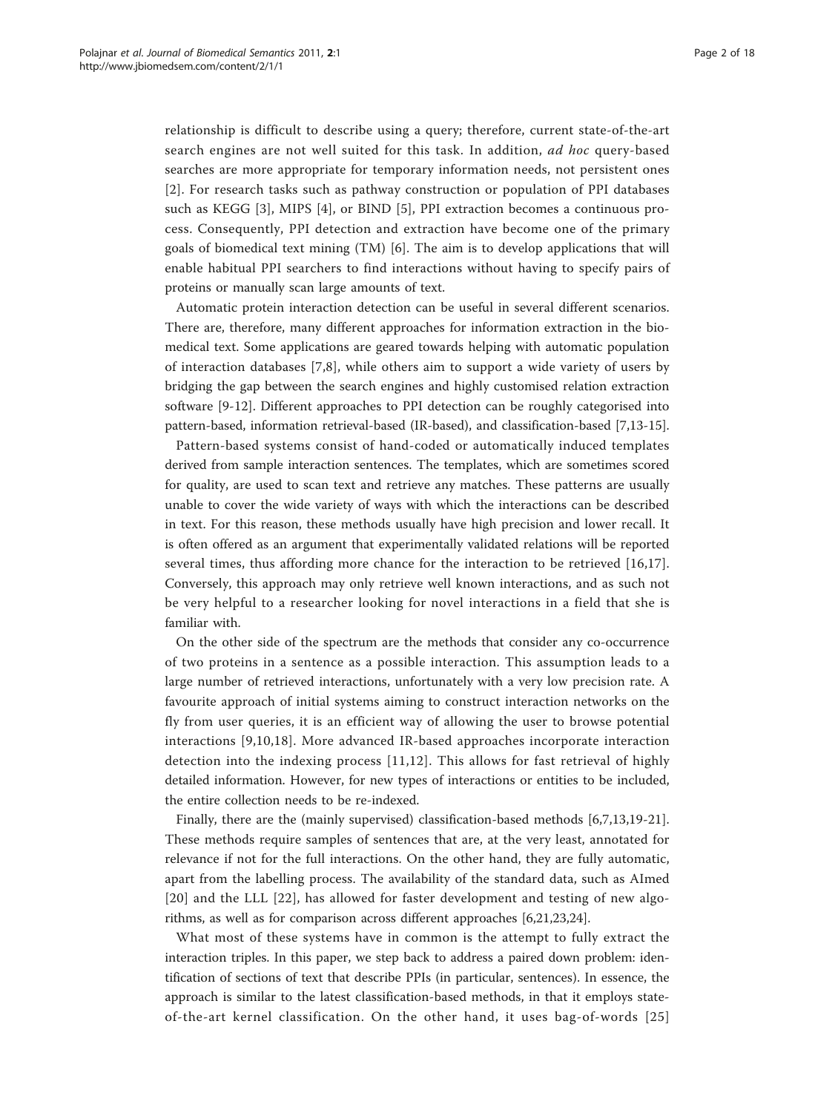relationship is difficult to describe using a query; therefore, current state-of-the-art search engines are not well suited for this task. In addition, ad hoc query-based searches are more appropriate for temporary information needs, not persistent ones [[2](#page-14-0)]. For research tasks such as pathway construction or population of PPI databases such as KEGG [\[3](#page-14-0)], MIPS [[4](#page-14-0)], or BIND [[5\]](#page-14-0), PPI extraction becomes a continuous process. Consequently, PPI detection and extraction have become one of the primary goals of biomedical text mining (TM) [[6\]](#page-14-0). The aim is to develop applications that will enable habitual PPI searchers to find interactions without having to specify pairs of proteins or manually scan large amounts of text.

Automatic protein interaction detection can be useful in several different scenarios. There are, therefore, many different approaches for information extraction in the biomedical text. Some applications are geared towards helping with automatic population of interaction databases [[7,8](#page-15-0)], while others aim to support a wide variety of users by bridging the gap between the search engines and highly customised relation extraction software [[9-12](#page-15-0)]. Different approaches to PPI detection can be roughly categorised into pattern-based, information retrieval-based (IR-based), and classification-based [\[7,13](#page-15-0)-[15](#page-15-0)].

Pattern-based systems consist of hand-coded or automatically induced templates derived from sample interaction sentences. The templates, which are sometimes scored for quality, are used to scan text and retrieve any matches. These patterns are usually unable to cover the wide variety of ways with which the interactions can be described in text. For this reason, these methods usually have high precision and lower recall. It is often offered as an argument that experimentally validated relations will be reported several times, thus affording more chance for the interaction to be retrieved [[16,17](#page-15-0)]. Conversely, this approach may only retrieve well known interactions, and as such not be very helpful to a researcher looking for novel interactions in a field that she is familiar with.

On the other side of the spectrum are the methods that consider any co-occurrence of two proteins in a sentence as a possible interaction. This assumption leads to a large number of retrieved interactions, unfortunately with a very low precision rate. A favourite approach of initial systems aiming to construct interaction networks on the fly from user queries, it is an efficient way of allowing the user to browse potential interactions [\[9,10](#page-15-0),[18\]](#page-15-0). More advanced IR-based approaches incorporate interaction detection into the indexing process [\[11,12\]](#page-15-0). This allows for fast retrieval of highly detailed information. However, for new types of interactions or entities to be included, the entire collection needs to be re-indexed.

Finally, there are the (mainly supervised) classification-based methods [[6,](#page-14-0)[7,13,19-21](#page-15-0)]. These methods require samples of sentences that are, at the very least, annotated for relevance if not for the full interactions. On the other hand, they are fully automatic, apart from the labelling process. The availability of the standard data, such as AImed [[20](#page-15-0)] and the LLL [\[22\]](#page-15-0), has allowed for faster development and testing of new algorithms, as well as for comparison across different approaches [[6](#page-14-0),[21,23,24](#page-15-0)].

What most of these systems have in common is the attempt to fully extract the interaction triples. In this paper, we step back to address a paired down problem: identification of sections of text that describe PPIs (in particular, sentences). In essence, the approach is similar to the latest classification-based methods, in that it employs stateof-the-art kernel classification. On the other hand, it uses bag-of-words [[25](#page-15-0)]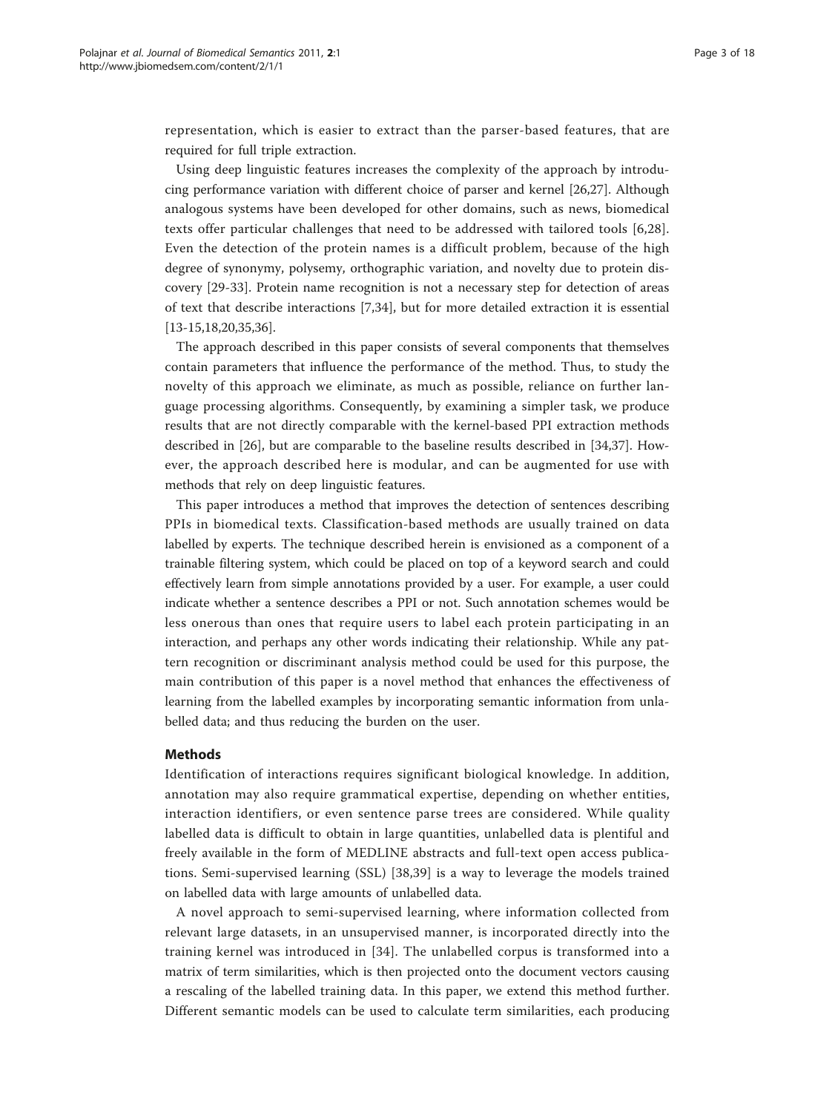representation, which is easier to extract than the parser-based features, that are required for full triple extraction.

Using deep linguistic features increases the complexity of the approach by introducing performance variation with different choice of parser and kernel [\[26,27\]](#page-15-0). Although analogous systems have been developed for other domains, such as news, biomedical texts offer particular challenges that need to be addressed with tailored tools [[6,](#page-14-0)[28](#page-15-0)]. Even the detection of the protein names is a difficult problem, because of the high degree of synonymy, polysemy, orthographic variation, and novelty due to protein discovery [[29-33](#page-15-0)]. Protein name recognition is not a necessary step for detection of areas of text that describe interactions [\[7,34](#page-15-0)], but for more detailed extraction it is essential [[13-15,18,20,35,](#page-15-0)[36](#page-16-0)].

The approach described in this paper consists of several components that themselves contain parameters that influence the performance of the method. Thus, to study the novelty of this approach we eliminate, as much as possible, reliance on further language processing algorithms. Consequently, by examining a simpler task, we produce results that are not directly comparable with the kernel-based PPI extraction methods described in [[26\]](#page-15-0), but are comparable to the baseline results described in [\[34](#page-15-0)[,37](#page-16-0)]. However, the approach described here is modular, and can be augmented for use with methods that rely on deep linguistic features.

This paper introduces a method that improves the detection of sentences describing PPIs in biomedical texts. Classification-based methods are usually trained on data labelled by experts. The technique described herein is envisioned as a component of a trainable filtering system, which could be placed on top of a keyword search and could effectively learn from simple annotations provided by a user. For example, a user could indicate whether a sentence describes a PPI or not. Such annotation schemes would be less onerous than ones that require users to label each protein participating in an interaction, and perhaps any other words indicating their relationship. While any pattern recognition or discriminant analysis method could be used for this purpose, the main contribution of this paper is a novel method that enhances the effectiveness of learning from the labelled examples by incorporating semantic information from unlabelled data; and thus reducing the burden on the user.

# **Methods**

Identification of interactions requires significant biological knowledge. In addition, annotation may also require grammatical expertise, depending on whether entities, interaction identifiers, or even sentence parse trees are considered. While quality labelled data is difficult to obtain in large quantities, unlabelled data is plentiful and freely available in the form of MEDLINE abstracts and full-text open access publications. Semi-supervised learning (SSL) [\[38](#page-16-0),[39\]](#page-16-0) is a way to leverage the models trained on labelled data with large amounts of unlabelled data.

A novel approach to semi-supervised learning, where information collected from relevant large datasets, in an unsupervised manner, is incorporated directly into the training kernel was introduced in [\[34\]](#page-15-0). The unlabelled corpus is transformed into a matrix of term similarities, which is then projected onto the document vectors causing a rescaling of the labelled training data. In this paper, we extend this method further. Different semantic models can be used to calculate term similarities, each producing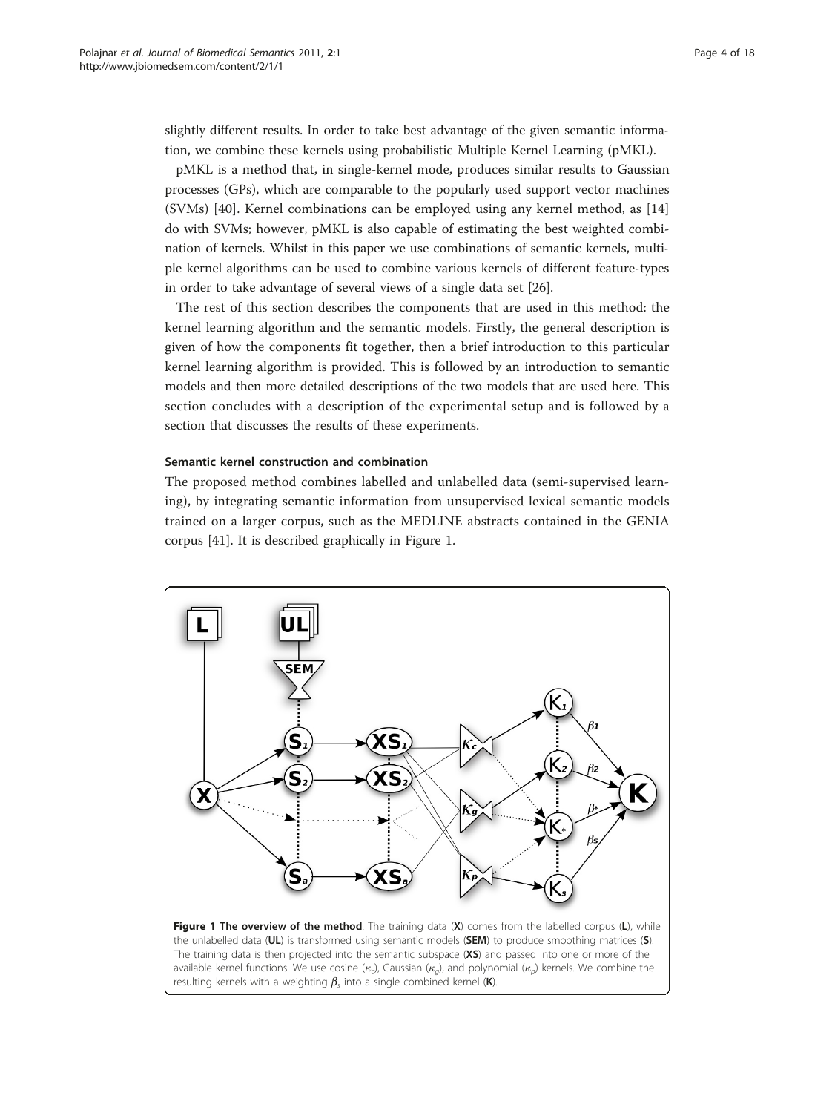slightly different results. In order to take best advantage of the given semantic information, we combine these kernels using probabilistic Multiple Kernel Learning (pMKL).

pMKL is a method that, in single-kernel mode, produces similar results to Gaussian processes (GPs), which are comparable to the popularly used support vector machines (SVMs) [[40\]](#page-16-0). Kernel combinations can be employed using any kernel method, as [\[14](#page-15-0)] do with SVMs; however, pMKL is also capable of estimating the best weighted combination of kernels. Whilst in this paper we use combinations of semantic kernels, multiple kernel algorithms can be used to combine various kernels of different feature-types in order to take advantage of several views of a single data set [[26\]](#page-15-0).

The rest of this section describes the components that are used in this method: the kernel learning algorithm and the semantic models. Firstly, the general description is given of how the components fit together, then a brief introduction to this particular kernel learning algorithm is provided. This is followed by an introduction to semantic models and then more detailed descriptions of the two models that are used here. This section concludes with a description of the experimental setup and is followed by a section that discusses the results of these experiments.

# Semantic kernel construction and combination

The proposed method combines labelled and unlabelled data (semi-supervised learning), by integrating semantic information from unsupervised lexical semantic models trained on a larger corpus, such as the MEDLINE abstracts contained in the GENIA corpus [\[41](#page-16-0)]. It is described graphically in Figure 1.

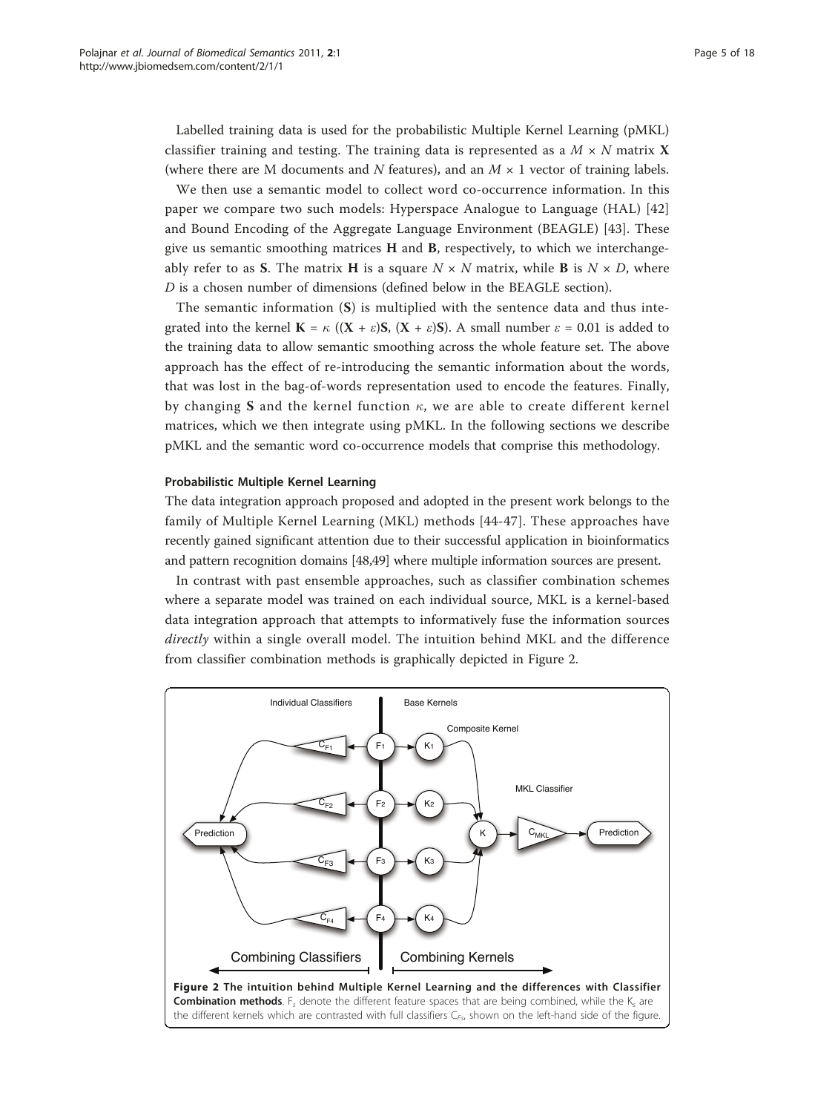Labelled training data is used for the probabilistic Multiple Kernel Learning (pMKL) classifier training and testing. The training data is represented as a  $M \times N$  matrix X (where there are M documents and N features), and an  $M \times 1$  vector of training labels.

We then use a semantic model to collect word co-occurrence information. In this paper we compare two such models: Hyperspace Analogue to Language (HAL) [\[42](#page-16-0)] and Bound Encoding of the Aggregate Language Environment (BEAGLE) [[43\]](#page-16-0). These give us semantic smoothing matrices  $H$  and  $B$ , respectively, to which we interchangeably refer to as **S**. The matrix **H** is a square  $N \times N$  matrix, while **B** is  $N \times D$ , where D is a chosen number of dimensions (defined below in the BEAGLE section).

The semantic information  $(S)$  is multiplied with the sentence data and thus integrated into the kernel  $\mathbf{K} = \kappa ((\mathbf{X} + \varepsilon) \mathbf{S}, (\mathbf{X} + \varepsilon) \mathbf{S})$ . A small number  $\varepsilon = 0.01$  is added to the training data to allow semantic smoothing across the whole feature set. The above approach has the effect of re-introducing the semantic information about the words, that was lost in the bag-of-words representation used to encode the features. Finally, by changing S and the kernel function  $\kappa$ , we are able to create different kernel matrices, which we then integrate using pMKL. In the following sections we describe pMKL and the semantic word co-occurrence models that comprise this methodology.

# Probabilistic Multiple Kernel Learning

The data integration approach proposed and adopted in the present work belongs to the family of Multiple Kernel Learning (MKL) methods [\[44-47\]](#page-16-0). These approaches have recently gained significant attention due to their successful application in bioinformatics and pattern recognition domains [[48,49](#page-16-0)] where multiple information sources are present.

In contrast with past ensemble approaches, such as classifier combination schemes where a separate model was trained on each individual source, MKL is a kernel-based data integration approach that attempts to informatively fuse the information sources directly within a single overall model. The intuition behind MKL and the difference from classifier combination methods is graphically depicted in Figure 2.

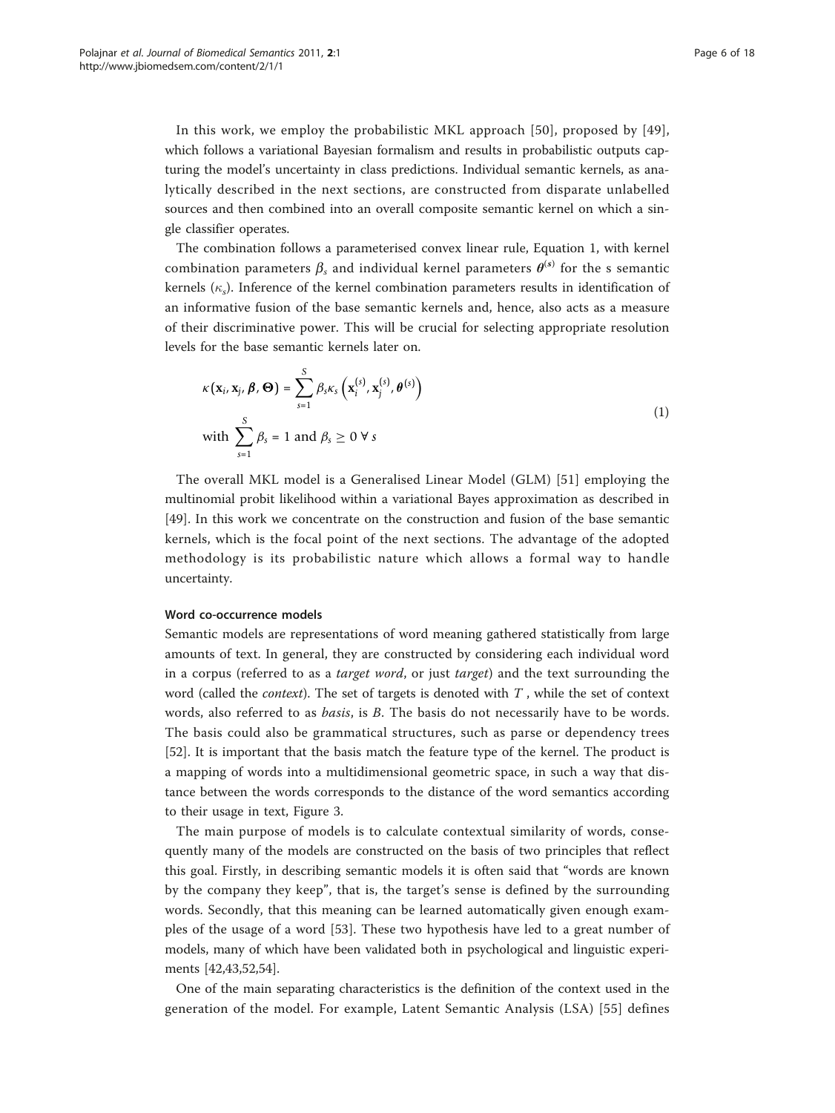In this work, we employ the probabilistic MKL approach [[50](#page-16-0)], proposed by [[49](#page-16-0)], which follows a variational Bayesian formalism and results in probabilistic outputs capturing the model's uncertainty in class predictions. Individual semantic kernels, as analytically described in the next sections, are constructed from disparate unlabelled sources and then combined into an overall composite semantic kernel on which a single classifier operates.

The combination follows a parameterised convex linear rule, Equation 1, with kernel combination parameters  $\beta_s$  and individual kernel parameters  $\theta^{(s)}$  for the s semantic kernels  $(\kappa_s)$ . Inference of the kernel combination parameters results in identification of an informative fusion of the base semantic kernels and, hence, also acts as a measure of their discriminative power. This will be crucial for selecting appropriate resolution levels for the base semantic kernels later on.

$$
\kappa(\mathbf{x}_i, \mathbf{x}_j, \boldsymbol{\beta}, \boldsymbol{\Theta}) = \sum_{s=1}^S \beta_s \kappa_s \left( \mathbf{x}_i^{(s)}, \mathbf{x}_j^{(s)}, \boldsymbol{\theta}^{(s)} \right)
$$
  
with 
$$
\sum_{s=1}^S \beta_s = 1 \text{ and } \beta_s \ge 0 \ \forall \ s
$$
 (1)

The overall MKL model is a Generalised Linear Model (GLM) [\[51](#page-16-0)] employing the multinomial probit likelihood within a variational Bayes approximation as described in [[49\]](#page-16-0). In this work we concentrate on the construction and fusion of the base semantic kernels, which is the focal point of the next sections. The advantage of the adopted methodology is its probabilistic nature which allows a formal way to handle uncertainty.

#### Word co-occurrence models

Semantic models are representations of word meaning gathered statistically from large amounts of text. In general, they are constructed by considering each individual word in a corpus (referred to as a *target word*, or just *target*) and the text surrounding the word (called the *context*). The set of targets is denoted with  $T$ , while the set of context words, also referred to as *basis*, is B. The basis do not necessarily have to be words. The basis could also be grammatical structures, such as parse or dependency trees [[52\]](#page-16-0). It is important that the basis match the feature type of the kernel. The product is a mapping of words into a multidimensional geometric space, in such a way that distance between the words corresponds to the distance of the word semantics according to their usage in text, Figure [3.](#page-6-0)

The main purpose of models is to calculate contextual similarity of words, consequently many of the models are constructed on the basis of two principles that reflect this goal. Firstly, in describing semantic models it is often said that "words are known by the company they keep", that is, the target's sense is defined by the surrounding words. Secondly, that this meaning can be learned automatically given enough examples of the usage of a word [[53\]](#page-16-0). These two hypothesis have led to a great number of models, many of which have been validated both in psychological and linguistic experiments [[42,43,52](#page-16-0),[54](#page-16-0)].

One of the main separating characteristics is the definition of the context used in the generation of the model. For example, Latent Semantic Analysis (LSA) [[55\]](#page-16-0) defines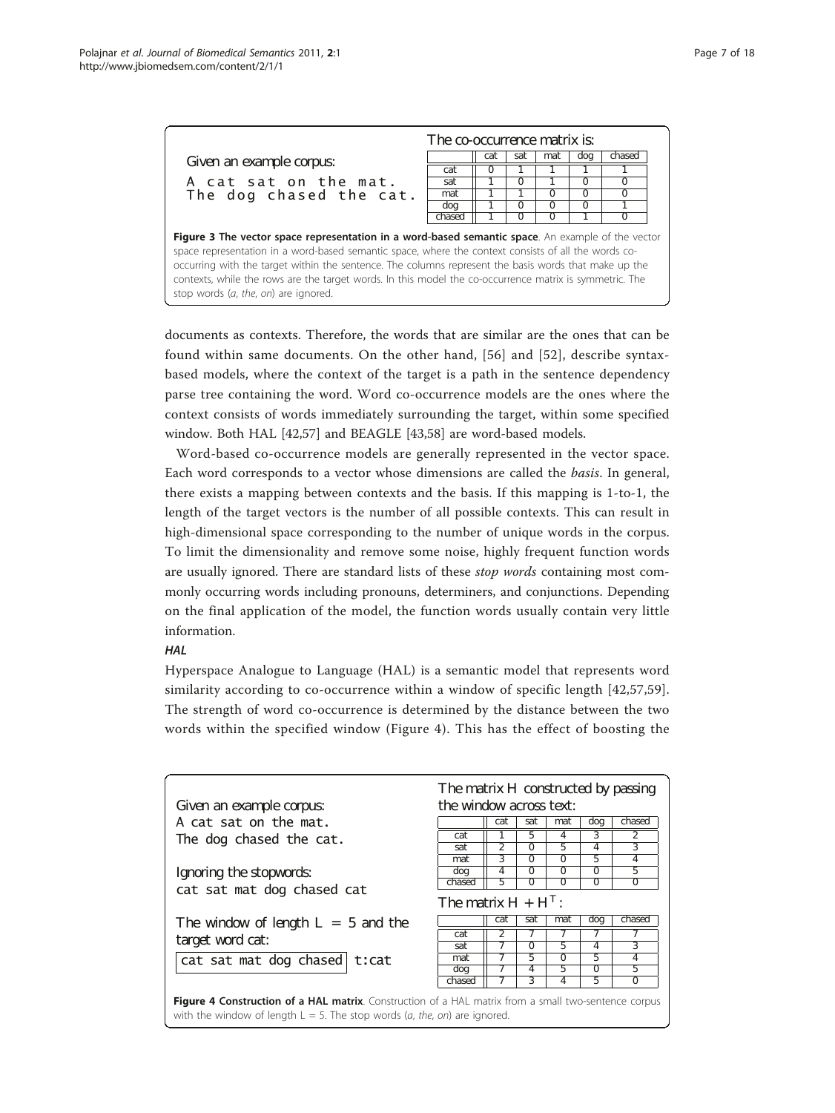<span id="page-6-0"></span>

|                                                                                                                                                                                                                                                                                                                                                                                                                                                                       | The co-occurrence matrix is: |     |     |     |     |        |  |
|-----------------------------------------------------------------------------------------------------------------------------------------------------------------------------------------------------------------------------------------------------------------------------------------------------------------------------------------------------------------------------------------------------------------------------------------------------------------------|------------------------------|-----|-----|-----|-----|--------|--|
| Given an example corpus:                                                                                                                                                                                                                                                                                                                                                                                                                                              |                              | cat | sat | mat | dog | chased |  |
|                                                                                                                                                                                                                                                                                                                                                                                                                                                                       | cat                          |     |     |     |     |        |  |
| A cat sat on the mat.                                                                                                                                                                                                                                                                                                                                                                                                                                                 | sat                          |     | O   |     | ი   |        |  |
| The dog chased the cat.                                                                                                                                                                                                                                                                                                                                                                                                                                               | mat                          |     |     | ი   | o   |        |  |
|                                                                                                                                                                                                                                                                                                                                                                                                                                                                       | doa                          |     | O   | o   | ი   |        |  |
|                                                                                                                                                                                                                                                                                                                                                                                                                                                                       | chased                       |     |     |     |     |        |  |
| Figure 3 The vector space representation in a word-based semantic space. An example of the vector<br>space representation in a word-based semantic space, where the context consists of all the words co-<br>occurring with the target within the sentence. The columns represent the basis words that make up the<br>contexts, while the rows are the target words. In this model the co-occurrence matrix is symmetric. The<br>stop words (a, the, on) are ignored. |                              |     |     |     |     |        |  |

documents as contexts. Therefore, the words that are similar are the ones that can be found within same documents. On the other hand, [[56\]](#page-16-0) and [[52\]](#page-16-0), describe syntaxbased models, where the context of the target is a path in the sentence dependency parse tree containing the word. Word co-occurrence models are the ones where the context consists of words immediately surrounding the target, within some specified window. Both HAL [[42,57](#page-16-0)] and BEAGLE [[43,58](#page-16-0)] are word-based models.

Word-based co-occurrence models are generally represented in the vector space. Each word corresponds to a vector whose dimensions are called the basis. In general, there exists a mapping between contexts and the basis. If this mapping is 1-to-1, the length of the target vectors is the number of all possible contexts. This can result in high-dimensional space corresponding to the number of unique words in the corpus. To limit the dimensionality and remove some noise, highly frequent function words are usually ignored. There are standard lists of these stop words containing most commonly occurring words including pronouns, determiners, and conjunctions. Depending on the final application of the model, the function words usually contain very little information.

# **HAL**

Hyperspace Analogue to Language (HAL) is a semantic model that represents word similarity according to co-occurrence within a window of specific length [[42,57,59](#page-16-0)]. The strength of word co-occurrence is determined by the distance between the two words within the specified window (Figure 4). This has the effect of boosting the

| Given an example corpus:                                                                                                                                                                              | The matrix H constructed by passing<br>the window across text: |     |          |                          |          |          |  |  |
|-------------------------------------------------------------------------------------------------------------------------------------------------------------------------------------------------------|----------------------------------------------------------------|-----|----------|--------------------------|----------|----------|--|--|
| A cat sat on the mat.                                                                                                                                                                                 |                                                                | cat | sat      | mat                      | dog      | chased   |  |  |
| The dog chased the cat.                                                                                                                                                                               | cat                                                            | 1   | 5        | 4                        | 3        | 2        |  |  |
|                                                                                                                                                                                                       | sat                                                            | 2   | $\Omega$ | 5                        | 4        | 3        |  |  |
|                                                                                                                                                                                                       | mat                                                            | २   | 0        | $\Omega$                 | 5        | 4        |  |  |
| Ignoring the stopwords:                                                                                                                                                                               | dog                                                            | 4   | $\Omega$ | 0                        | $\Omega$ | 5        |  |  |
| cat sat mat dog chased cat                                                                                                                                                                            | chased                                                         | 5   | $\Omega$ | $\Omega$                 | $\Omega$ | $\Omega$ |  |  |
|                                                                                                                                                                                                       |                                                                |     |          | The matrix $H + H^{T}$ : |          |          |  |  |
| The window of length $L = 5$ and the                                                                                                                                                                  |                                                                | cat | sat      | mat                      | doa      | chased   |  |  |
| target word cat:                                                                                                                                                                                      | cat                                                            |     |          |                          |          |          |  |  |
|                                                                                                                                                                                                       | sat                                                            |     | $\Omega$ | 5                        | 4        | 3        |  |  |
| cat sat mat dog chased<br>t:cat                                                                                                                                                                       | mat                                                            |     | 5        | $\Omega$                 | 5        | 4        |  |  |
|                                                                                                                                                                                                       | doa                                                            |     | 4        | 5                        | $\Omega$ | 5        |  |  |
|                                                                                                                                                                                                       | chased                                                         |     |          | 4                        | 5        | $\Omega$ |  |  |
| Figure 4 Construction of a HAL matrix. Construction of a HAL matrix from a small two-sentence corpus<br>with the window of length $L = 5$ . The stop words ( <i>a</i> , the, <i>on</i> ) are ignored. |                                                                |     |          |                          |          |          |  |  |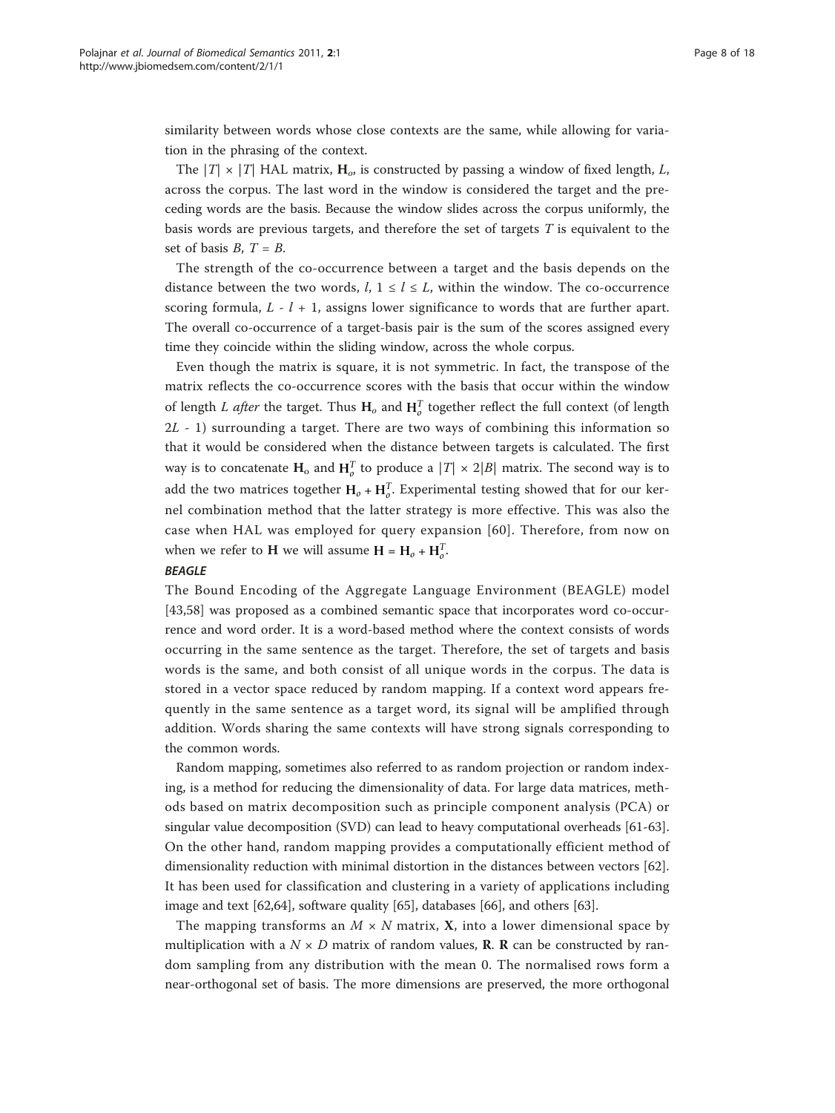similarity between words whose close contexts are the same, while allowing for variation in the phrasing of the context.

The  $|T| \times |T|$  HAL matrix,  $H_0$ , is constructed by passing a window of fixed length, L, across the corpus. The last word in the window is considered the target and the preceding words are the basis. Because the window slides across the corpus uniformly, the basis words are previous targets, and therefore the set of targets  $T$  is equivalent to the set of basis  $B$ ,  $T = B$ .

The strength of the co-occurrence between a target and the basis depends on the distance between the two words,  $l, 1 \leq l \leq L$ , within the window. The co-occurrence scoring formula,  $L - l + 1$ , assigns lower significance to words that are further apart. The overall co-occurrence of a target-basis pair is the sum of the scores assigned every time they coincide within the sliding window, across the whole corpus.

Even though the matrix is square, it is not symmetric. In fact, the transpose of the matrix reflects the co-occurrence scores with the basis that occur within the window of length L after the target. Thus  $H_o$  and  $H^T_o$  together reflect the full context (of length 2L - 1) surrounding a target. There are two ways of combining this information so that it would be considered when the distance between targets is calculated. The first way is to concatenate  $H_o$  and  $H_o^T$  to produce a  $|T| \times 2|B|$  matrix. The second way is to add the two matrices together  $H_0 + H_0^T$ . Experimental testing showed that for our kernel combination method that the latter strategy is more effective. This was also the case when HAL was employed for query expansion [[60\]](#page-16-0). Therefore, from now on when we refer to **H** we will assume  $\mathbf{H} = \mathbf{H}_o + \mathbf{H}_o^T$ .

#### BEAGLE

The Bound Encoding of the Aggregate Language Environment (BEAGLE) model [[43,58\]](#page-16-0) was proposed as a combined semantic space that incorporates word co-occurrence and word order. It is a word-based method where the context consists of words occurring in the same sentence as the target. Therefore, the set of targets and basis words is the same, and both consist of all unique words in the corpus. The data is stored in a vector space reduced by random mapping. If a context word appears frequently in the same sentence as a target word, its signal will be amplified through addition. Words sharing the same contexts will have strong signals corresponding to the common words.

Random mapping, sometimes also referred to as random projection or random indexing, is a method for reducing the dimensionality of data. For large data matrices, methods based on matrix decomposition such as principle component analysis (PCA) or singular value decomposition (SVD) can lead to heavy computational overheads [\[61-63](#page-16-0)]. On the other hand, random mapping provides a computationally efficient method of dimensionality reduction with minimal distortion in the distances between vectors [\[62](#page-16-0)]. It has been used for classification and clustering in a variety of applications including image and text [[62,64](#page-16-0)], software quality [\[65](#page-16-0)], databases [\[66](#page-16-0)], and others [\[63\]](#page-16-0).

The mapping transforms an  $M \times N$  matrix, X, into a lower dimensional space by multiplication with a  $N \times D$  matrix of random values, **R**. **R** can be constructed by random sampling from any distribution with the mean 0. The normalised rows form a near-orthogonal set of basis. The more dimensions are preserved, the more orthogonal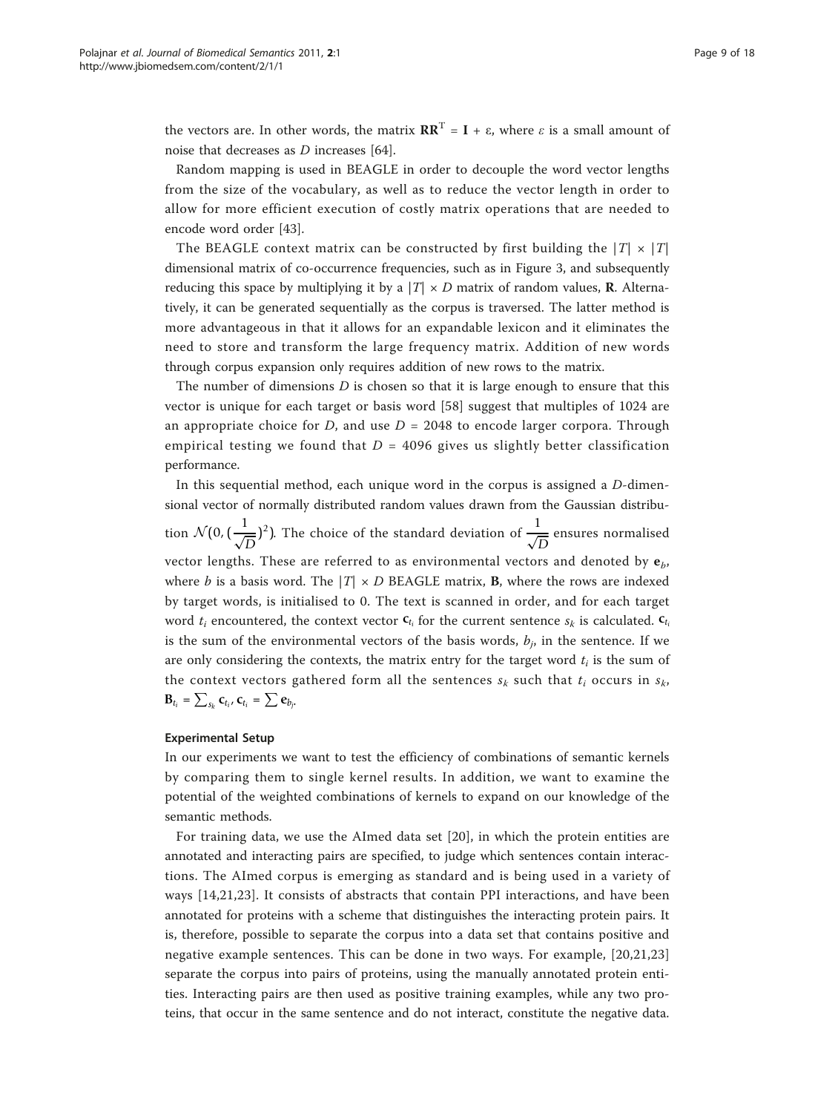the vectors are. In other words, the matrix  $\mathbf{R}\mathbf{R}^{\mathrm{T}} = \mathbf{I} + \varepsilon$ , where  $\varepsilon$  is a small amount of noise that decreases as D increases [\[64](#page-16-0)].

Random mapping is used in BEAGLE in order to decouple the word vector lengths from the size of the vocabulary, as well as to reduce the vector length in order to allow for more efficient execution of costly matrix operations that are needed to encode word order [\[43\]](#page-16-0).

The BEAGLE context matrix can be constructed by first building the  $|T| \times |T|$ dimensional matrix of co-occurrence frequencies, such as in Figure [3,](#page-6-0) and subsequently reducing this space by multiplying it by a  $|T| \times D$  matrix of random values, **R**. Alternatively, it can be generated sequentially as the corpus is traversed. The latter method is more advantageous in that it allows for an expandable lexicon and it eliminates the need to store and transform the large frequency matrix. Addition of new words through corpus expansion only requires addition of new rows to the matrix.

The number of dimensions  $D$  is chosen so that it is large enough to ensure that this vector is unique for each target or basis word [[58\]](#page-16-0) suggest that multiples of 1024 are an appropriate choice for D, and use  $D = 2048$  to encode larger corpora. Through empirical testing we found that  $D = 4096$  gives us slightly better classification performance.

In this sequential method, each unique word in the corpus is assigned a D-dimensional vector of normally distributed random values drawn from the Gaussian distribution  $\mathcal{N}(0, (\frac{1}{\sqrt{D}})^2)$ . The choice of the standard deviation of  $\frac{1}{\sqrt{D}}$  $\sqrt{D}$  ensures normalised vector lengths. These are referred to as environmental vectors and denoted by  $e_h$ , where b is a basis word. The  $|T| \times D$  BEAGLE matrix, **B**, where the rows are indexed by target words, is initialised to 0. The text is scanned in order, and for each target word  $t_i$  encountered, the context vector  $\mathbf{c}_{t_i}$  for the current sentence  $s_k$  is calculated.  $\mathbf{c}_{t_i}$ is the sum of the environmental vectors of the basis words,  $b_i$ , in the sentence. If we are only considering the contexts, the matrix entry for the target word  $t_i$  is the sum of the context vectors gathered form all the sentences  $s_k$  such that  $t_i$  occurs in  $s_k$ , **<sub>***ti***</sub> =**  $\sum_{s_k}$  **<b>c**<sub>*ti*</sub>, **c**<sub>*ti*</sub> =  $\sum$  **e**<sub>*b*j</sub>.

#### Experimental Setup

In our experiments we want to test the efficiency of combinations of semantic kernels by comparing them to single kernel results. In addition, we want to examine the potential of the weighted combinations of kernels to expand on our knowledge of the semantic methods.

For training data, we use the AImed data set [\[20](#page-15-0)], in which the protein entities are annotated and interacting pairs are specified, to judge which sentences contain interactions. The AImed corpus is emerging as standard and is being used in a variety of ways [\[14](#page-15-0),[21,23](#page-15-0)]. It consists of abstracts that contain PPI interactions, and have been annotated for proteins with a scheme that distinguishes the interacting protein pairs. It is, therefore, possible to separate the corpus into a data set that contains positive and negative example sentences. This can be done in two ways. For example, [\[20](#page-15-0),[21,23](#page-15-0)] separate the corpus into pairs of proteins, using the manually annotated protein entities. Interacting pairs are then used as positive training examples, while any two proteins, that occur in the same sentence and do not interact, constitute the negative data.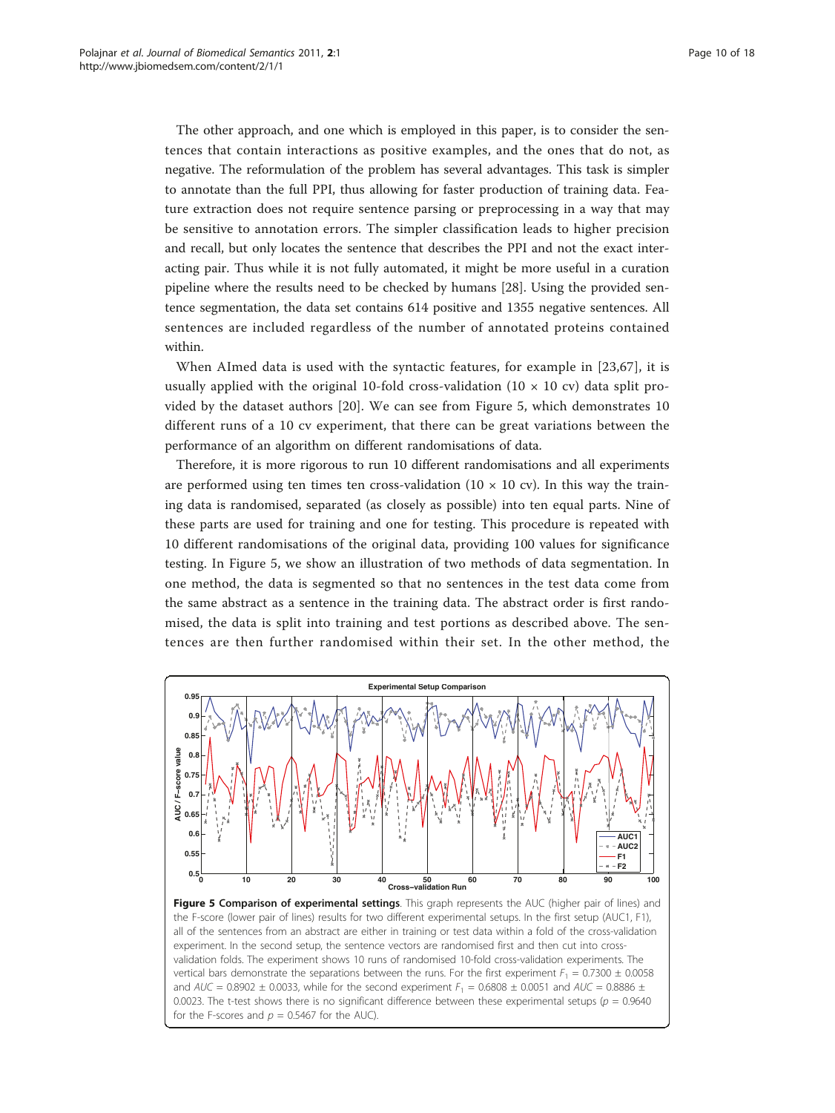<span id="page-9-0"></span>The other approach, and one which is employed in this paper, is to consider the sentences that contain interactions as positive examples, and the ones that do not, as negative. The reformulation of the problem has several advantages. This task is simpler to annotate than the full PPI, thus allowing for faster production of training data. Feature extraction does not require sentence parsing or preprocessing in a way that may be sensitive to annotation errors. The simpler classification leads to higher precision and recall, but only locates the sentence that describes the PPI and not the exact interacting pair. Thus while it is not fully automated, it might be more useful in a curation pipeline where the results need to be checked by humans [[28](#page-15-0)]. Using the provided sentence segmentation, the data set contains 614 positive and 1355 negative sentences. All sentences are included regardless of the number of annotated proteins contained within.

When AImed data is used with the syntactic features, for example in [[23](#page-15-0)[,67](#page-16-0)], it is usually applied with the original 10-fold cross-validation ( $10 \times 10$  cv) data split provided by the dataset authors [\[20](#page-15-0)]. We can see from Figure 5, which demonstrates 10 different runs of a 10 cv experiment, that there can be great variations between the performance of an algorithm on different randomisations of data.

Therefore, it is more rigorous to run 10 different randomisations and all experiments are performed using ten times ten cross-validation (10  $\times$  10 cv). In this way the training data is randomised, separated (as closely as possible) into ten equal parts. Nine of these parts are used for training and one for testing. This procedure is repeated with 10 different randomisations of the original data, providing 100 values for significance testing. In Figure 5, we show an illustration of two methods of data segmentation. In one method, the data is segmented so that no sentences in the test data come from the same abstract as a sentence in the training data. The abstract order is first randomised, the data is split into training and test portions as described above. The sentences are then further randomised within their set. In the other method, the



Figure 5 Comparison of experimental settings. This graph represents the AUC (higher pair of lines) and the F-score (lower pair of lines) results for two different experimental setups. In the first setup (AUC1, F1), all of the sentences from an abstract are either in training or test data within a fold of the cross-validation experiment. In the second setup, the sentence vectors are randomised first and then cut into crossvalidation folds. The experiment shows 10 runs of randomised 10-fold cross-validation experiments. The vertical bars demonstrate the separations between the runs. For the first experiment  $F_1 = 0.7300 \pm 0.0058$ and  $AUC = 0.8902 \pm 0.0033$ , while for the second experiment  $F_1 = 0.6808 \pm 0.0051$  and  $AUC = 0.8886 \pm 0.0031$ 0.0023. The t-test shows there is no significant difference between these experimental setups ( $p = 0.9640$ for the F-scores and  $p = 0.5467$  for the AUC).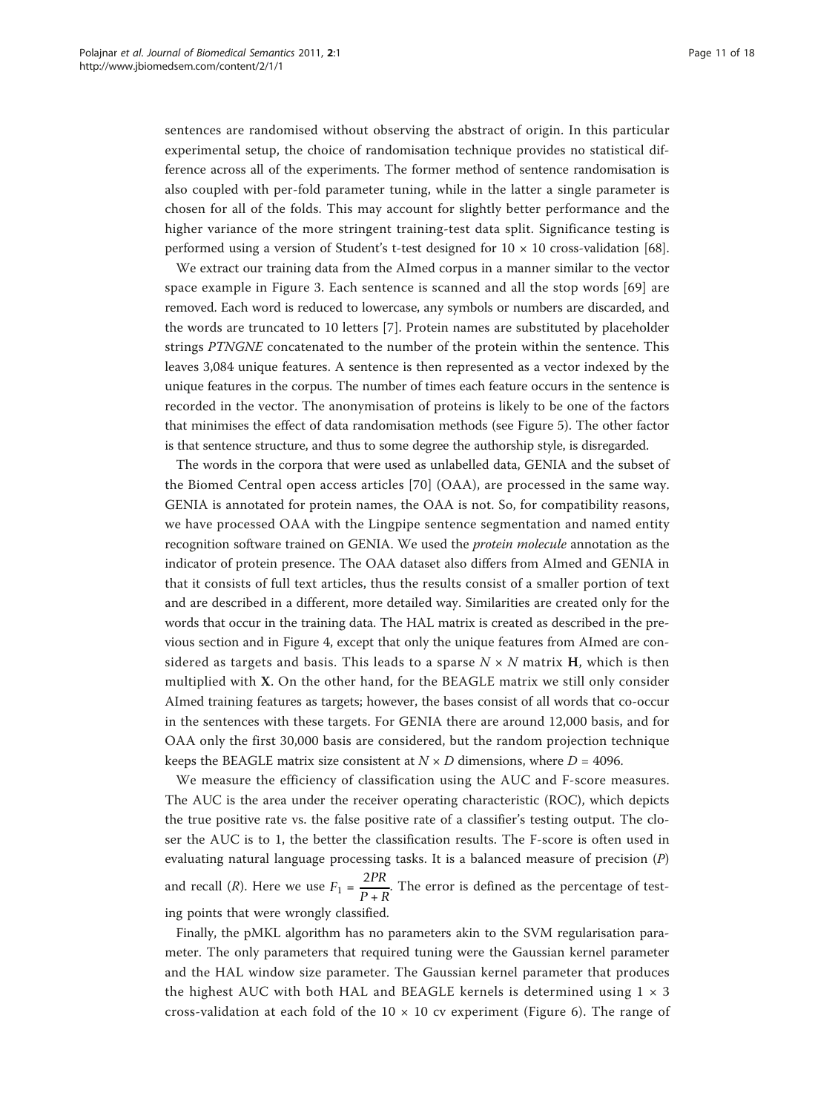sentences are randomised without observing the abstract of origin. In this particular experimental setup, the choice of randomisation technique provides no statistical difference across all of the experiments. The former method of sentence randomisation is also coupled with per-fold parameter tuning, while in the latter a single parameter is chosen for all of the folds. This may account for slightly better performance and the higher variance of the more stringent training-test data split. Significance testing is performed using a version of Student's t-test designed for  $10 \times 10$  cross-validation [[68](#page-16-0)].

We extract our training data from the AImed corpus in a manner similar to the vector space example in Figure [3](#page-6-0). Each sentence is scanned and all the stop words [[69](#page-16-0)] are removed. Each word is reduced to lowercase, any symbols or numbers are discarded, and the words are truncated to 10 letters [\[7](#page-15-0)]. Protein names are substituted by placeholder strings PTNGNE concatenated to the number of the protein within the sentence. This leaves 3,084 unique features. A sentence is then represented as a vector indexed by the unique features in the corpus. The number of times each feature occurs in the sentence is recorded in the vector. The anonymisation of proteins is likely to be one of the factors that minimises the effect of data randomisation methods (see Figure [5\)](#page-9-0). The other factor is that sentence structure, and thus to some degree the authorship style, is disregarded.

The words in the corpora that were used as unlabelled data, GENIA and the subset of the Biomed Central open access articles [[70](#page-16-0)] (OAA), are processed in the same way. GENIA is annotated for protein names, the OAA is not. So, for compatibility reasons, we have processed OAA with the Lingpipe sentence segmentation and named entity recognition software trained on GENIA. We used the protein molecule annotation as the indicator of protein presence. The OAA dataset also differs from AImed and GENIA in that it consists of full text articles, thus the results consist of a smaller portion of text and are described in a different, more detailed way. Similarities are created only for the words that occur in the training data. The HAL matrix is created as described in the previous section and in Figure [4,](#page-6-0) except that only the unique features from AImed are considered as targets and basis. This leads to a sparse  $N \times N$  matrix H, which is then multiplied with X. On the other hand, for the BEAGLE matrix we still only consider AImed training features as targets; however, the bases consist of all words that co-occur in the sentences with these targets. For GENIA there are around 12,000 basis, and for OAA only the first 30,000 basis are considered, but the random projection technique keeps the BEAGLE matrix size consistent at  $N \times D$  dimensions, where  $D = 4096$ .

We measure the efficiency of classification using the AUC and F-score measures. The AUC is the area under the receiver operating characteristic (ROC), which depicts the true positive rate vs. the false positive rate of a classifier's testing output. The closer the AUC is to 1, the better the classification results. The F-score is often used in evaluating natural language processing tasks. It is a balanced measure of precision (P) and recall (*R*). Here we use  $F_1 = \frac{2PR}{P+R}$ . The error is defined as the percentage of testing points that were wrongly classified.

Finally, the pMKL algorithm has no parameters akin to the SVM regularisation parameter. The only parameters that required tuning were the Gaussian kernel parameter and the HAL window size parameter. The Gaussian kernel parameter that produces the highest AUC with both HAL and BEAGLE kernels is determined using  $1 \times 3$ cross-validation at each fold of the  $10 \times 10$  cv experiment (Figure [6\)](#page-11-0). The range of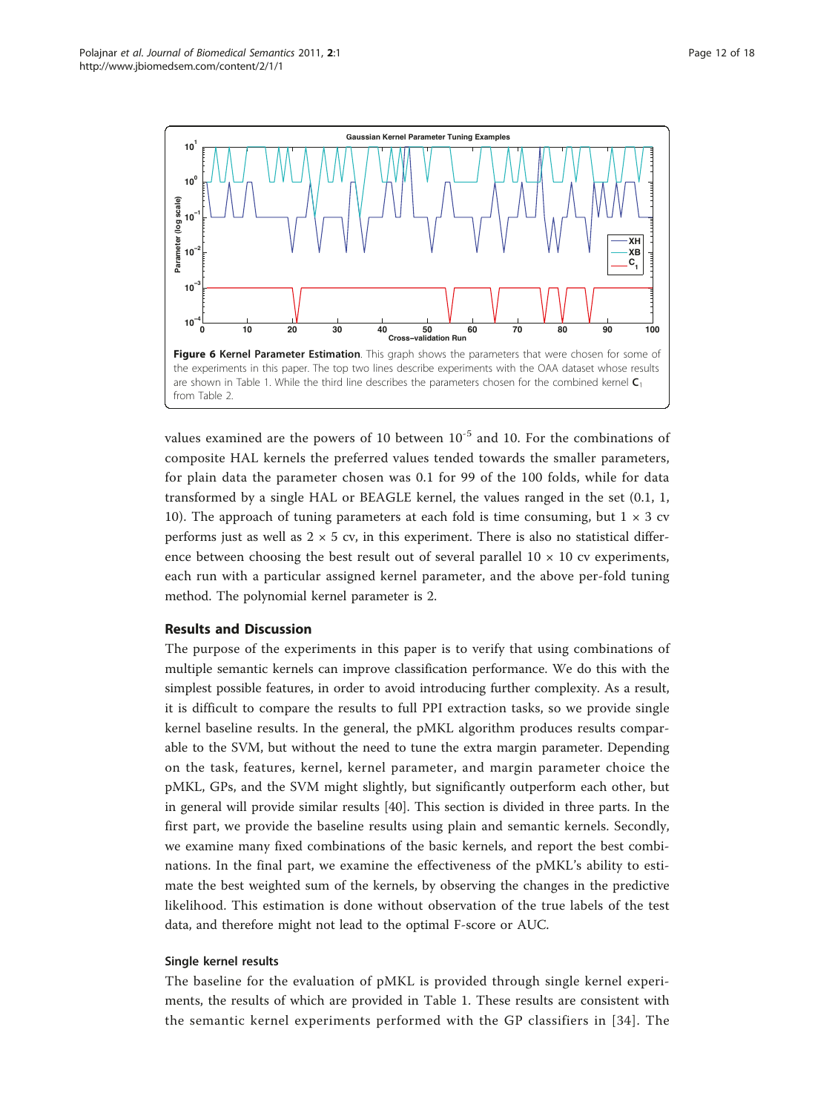<span id="page-11-0"></span>

values examined are the powers of 10 between  $10^{-5}$  and 10. For the combinations of composite HAL kernels the preferred values tended towards the smaller parameters, for plain data the parameter chosen was 0.1 for 99 of the 100 folds, while for data transformed by a single HAL or BEAGLE kernel, the values ranged in the set (0.1, 1, 10). The approach of tuning parameters at each fold is time consuming, but  $1 \times 3$  cv performs just as well as  $2 \times 5$  cv, in this experiment. There is also no statistical difference between choosing the best result out of several parallel  $10 \times 10$  cv experiments, each run with a particular assigned kernel parameter, and the above per-fold tuning method. The polynomial kernel parameter is 2.

# Results and Discussion

The purpose of the experiments in this paper is to verify that using combinations of multiple semantic kernels can improve classification performance. We do this with the simplest possible features, in order to avoid introducing further complexity. As a result, it is difficult to compare the results to full PPI extraction tasks, so we provide single kernel baseline results. In the general, the pMKL algorithm produces results comparable to the SVM, but without the need to tune the extra margin parameter. Depending on the task, features, kernel, kernel parameter, and margin parameter choice the pMKL, GPs, and the SVM might slightly, but significantly outperform each other, but in general will provide similar results [\[40](#page-16-0)]. This section is divided in three parts. In the first part, we provide the baseline results using plain and semantic kernels. Secondly, we examine many fixed combinations of the basic kernels, and report the best combinations. In the final part, we examine the effectiveness of the pMKL's ability to estimate the best weighted sum of the kernels, by observing the changes in the predictive likelihood. This estimation is done without observation of the true labels of the test data, and therefore might not lead to the optimal F-score or AUC.

# Single kernel results

The baseline for the evaluation of pMKL is provided through single kernel experiments, the results of which are provided in Table [1.](#page-12-0) These results are consistent with the semantic kernel experiments performed with the GP classifiers in [[34\]](#page-15-0). The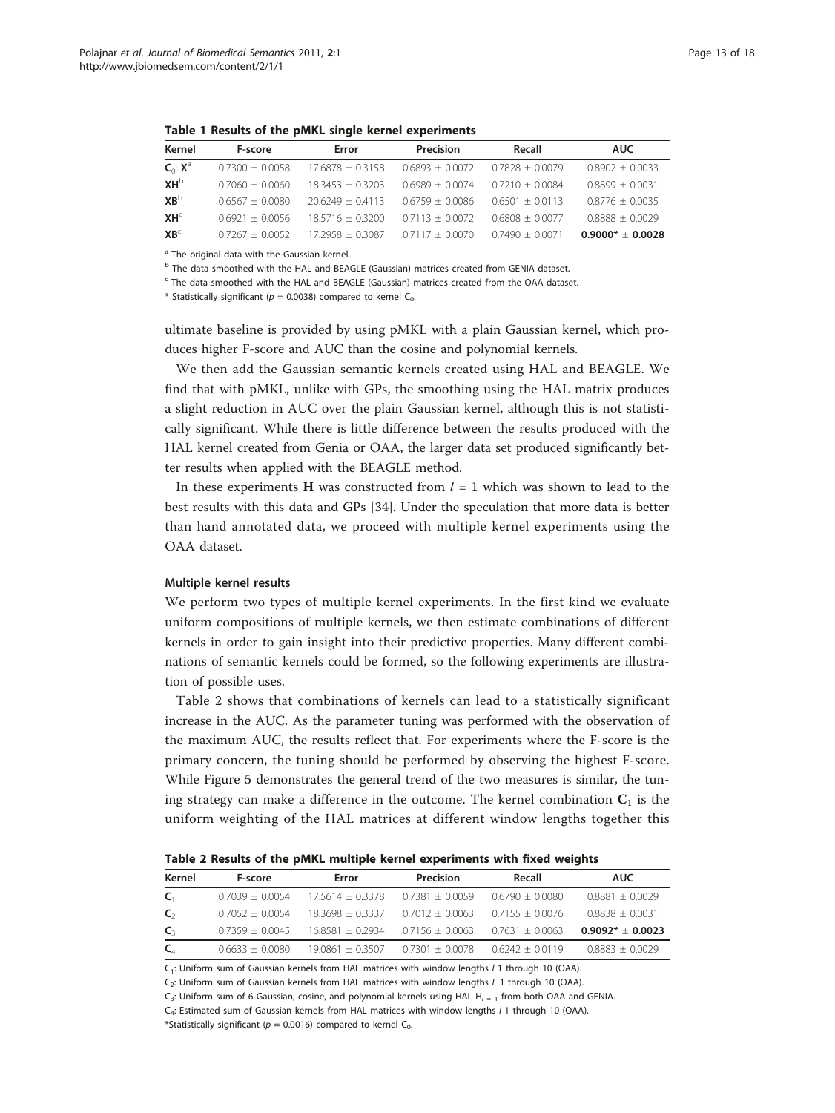| Kernel          | F-score           | Error              | Precision         | Recall            | <b>AUC</b>         |
|-----------------|-------------------|--------------------|-------------------|-------------------|--------------------|
| $C_0$ : $X^a$   | $0.7300 + 0.0058$ | $17.6878 + 0.3158$ | $0.6893 + 0.0072$ | $0.7828 + 0.0079$ | $0.8902 + 0.0033$  |
| XH <sup>b</sup> | $0.7060 + 0.0060$ | $18.3453 + 0.3203$ | $0.6989 + 0.0074$ | $0.7210 + 0.0084$ | $0.8899 + 0.0031$  |
| $XB^b$          | $0.6567 + 0.0080$ | $20.6249 + 0.4113$ | $0.6759 + 0.0086$ | $0.6501 + 0.0113$ | $0.8776 + 0.0035$  |
| XH <sub>c</sub> | $0.6921 + 0.0056$ | $18.5716 + 0.3200$ | $0.7113 + 0.0072$ | $0.6808 + 0.0077$ | $0.8888 + 0.0029$  |
| $X B^C$         | $0.7267 + 0.0052$ | $17.2958 + 0.3087$ | $0.7117 + 0.0070$ | $0.7490 + 0.0071$ | $0.9000* + 0.0028$ |

<span id="page-12-0"></span>Table 1 Results of the pMKL single kernel experiments

<sup>a</sup> The original data with the Gaussian kernel.

<sup>b</sup> The data smoothed with the HAL and BEAGLE (Gaussian) matrices created from GENIA dataset.

 $\epsilon$  The data smoothed with the HAL and BEAGLE (Gaussian) matrices created from the OAA dataset.

\* Statistically significant ( $p = 0.0038$ ) compared to kernel C<sub>0</sub>.

ultimate baseline is provided by using pMKL with a plain Gaussian kernel, which produces higher F-score and AUC than the cosine and polynomial kernels.

We then add the Gaussian semantic kernels created using HAL and BEAGLE. We find that with pMKL, unlike with GPs, the smoothing using the HAL matrix produces a slight reduction in AUC over the plain Gaussian kernel, although this is not statistically significant. While there is little difference between the results produced with the HAL kernel created from Genia or OAA, the larger data set produced significantly better results when applied with the BEAGLE method.

In these experiments H was constructed from  $l = 1$  which was shown to lead to the best results with this data and GPs [[34](#page-15-0)]. Under the speculation that more data is better than hand annotated data, we proceed with multiple kernel experiments using the OAA dataset.

#### Multiple kernel results

We perform two types of multiple kernel experiments. In the first kind we evaluate uniform compositions of multiple kernels, we then estimate combinations of different kernels in order to gain insight into their predictive properties. Many different combinations of semantic kernels could be formed, so the following experiments are illustration of possible uses.

Table 2 shows that combinations of kernels can lead to a statistically significant increase in the AUC. As the parameter tuning was performed with the observation of the maximum AUC, the results reflect that. For experiments where the F-score is the primary concern, the tuning should be performed by observing the highest F-score. While Figure [5](#page-9-0) demonstrates the general trend of the two measures is similar, the tuning strategy can make a difference in the outcome. The kernel combination  $C_1$  is the uniform weighting of the HAL matrices at different window lengths together this

Table 2 Results of the pMKL multiple kernel experiments with fixed weights

| Kernel         | F-score           | Error              | Precision           | Recall            | <b>AUC</b>          |
|----------------|-------------------|--------------------|---------------------|-------------------|---------------------|
| C <sub>1</sub> | $0.7039 + 0.0054$ | $17.5614 + 0.3378$ | $0.7381 + 0.0059$   | $0.6790 + 0.0080$ | $0.8881 + 0.0029$   |
| $C_{2}$        | $0.7052 + 0.0054$ | $18.3698 + 0.3337$ | $0.7012 + 0.0063$   | $07155 + 00076$   | $0.8838 + 0.0031$   |
| $C_3$          | $0.7359 + 0.0045$ | $16.8581 + 0.2934$ | $0.7156 \pm 0.0063$ | $0.7631 + 0.0063$ | $0.9092^* + 0.0023$ |
| $C_{4}$        | $0.6633 + 0.0080$ | $19.0861 + 0.3507$ | $0.7301 + 0.0078$   | $06242 + 00119$   | $0.8883 + 0.0029$   |

 $C_1$ : Uniform sum of Gaussian kernels from HAL matrices with window lengths  $l$  1 through 10 (OAA).

C2: Uniform sum of Gaussian kernels from HAL matrices with window lengths L 1 through 10 (OAA).

 $C_3$ : Uniform sum of 6 Gaussian, cosine, and polynomial kernels using HAL H<sub>I = 1</sub> from both OAA and GENIA.

C4: Estimated sum of Gaussian kernels from HAL matrices with window lengths l 1 through 10 (OAA).

\*Statistically significant ( $p = 0.0016$ ) compared to kernel C<sub>0</sub>.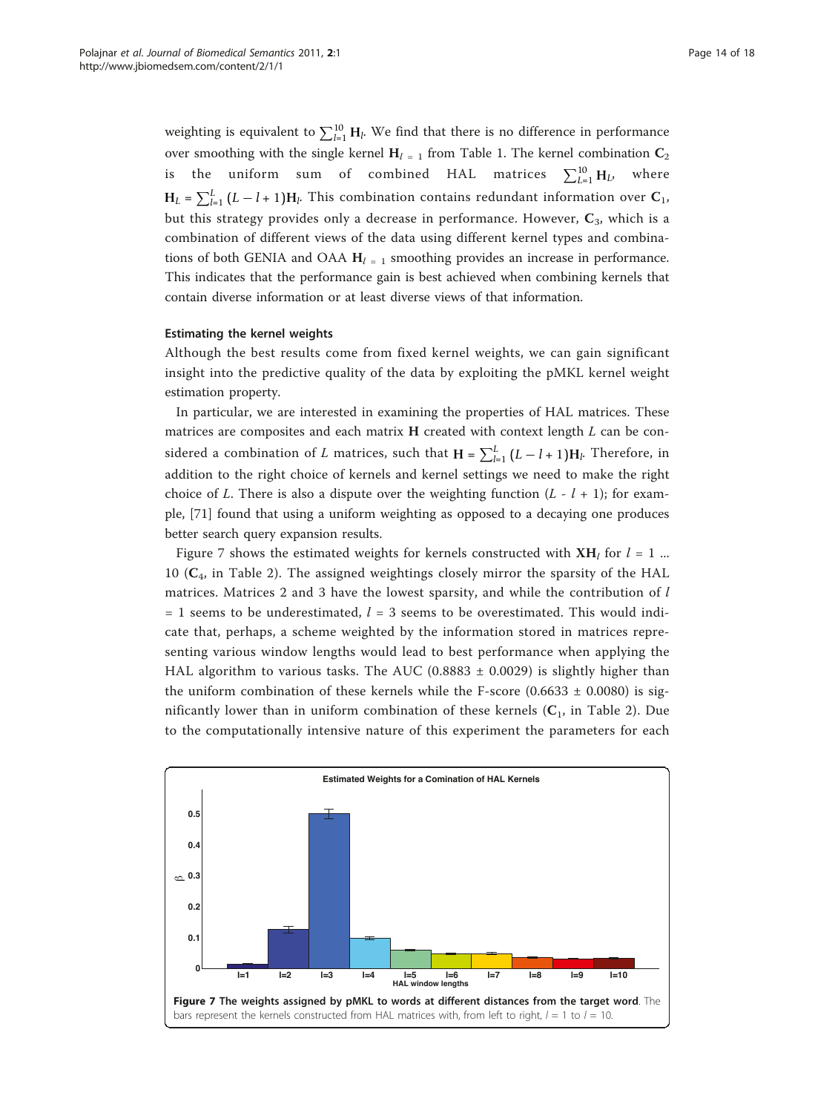weighting is equivalent to  $\sum_{l=1}^{10}$  **H**<sub>*l*</sub>. We find that there is no difference in performance over smoothing with the single kernel  $H_{l}$  = [1](#page-12-0) from Table 1. The kernel combination  $C_2$ is the uniform sum of combined HAL matrices  $\sum_{L=1}^{10} \mathbf{H}_L$ , where  $H_L = \sum_{l=1}^{L} (L - l + 1) H_l$ . This combination contains redundant information over  $C_1$ , but this strategy provides only a decrease in performance. However,  $C_3$ , which is a combination of different views of the data using different kernel types and combinations of both GENIA and OAA  $H_{l}$  = 1 smoothing provides an increase in performance. This indicates that the performance gain is best achieved when combining kernels that contain diverse information or at least diverse views of that information.

## Estimating the kernel weights

Although the best results come from fixed kernel weights, we can gain significant insight into the predictive quality of the data by exploiting the pMKL kernel weight estimation property.

In particular, we are interested in examining the properties of HAL matrices. These matrices are composites and each matrix H created with context length L can be considered a combination of L matrices, such that  $\mathbf{H} = \sum_{l=1}^{L} (L - l + 1) \mathbf{H}_l$ . Therefore, in addition to the right choice of kernels and kernel settings we need to make the right choice of L. There is also a dispute over the weighting function  $(L - l + 1)$ ; for example, [[71](#page-16-0)] found that using a uniform weighting as opposed to a decaying one produces better search query expansion results.

Figure 7 shows the estimated weights for kernels constructed with  $XH_l$  for  $l = 1$ ... 10  $(C_4$ , in Table [2\)](#page-12-0). The assigned weightings closely mirror the sparsity of the HAL matrices. Matrices 2 and 3 have the lowest sparsity, and while the contribution of l = 1 seems to be underestimated,  $l = 3$  seems to be overestimated. This would indicate that, perhaps, a scheme weighted by the information stored in matrices representing various window lengths would lead to best performance when applying the HAL algorithm to various tasks. The AUC (0.8883  $\pm$  0.0029) is slightly higher than the uniform combination of these kernels while the F-score (0.6633  $\pm$  0.0080) is significantly lower than in uniform combination of these kernels  $(C_1)$ , in Table [2](#page-12-0)). Due to the computationally intensive nature of this experiment the parameters for each

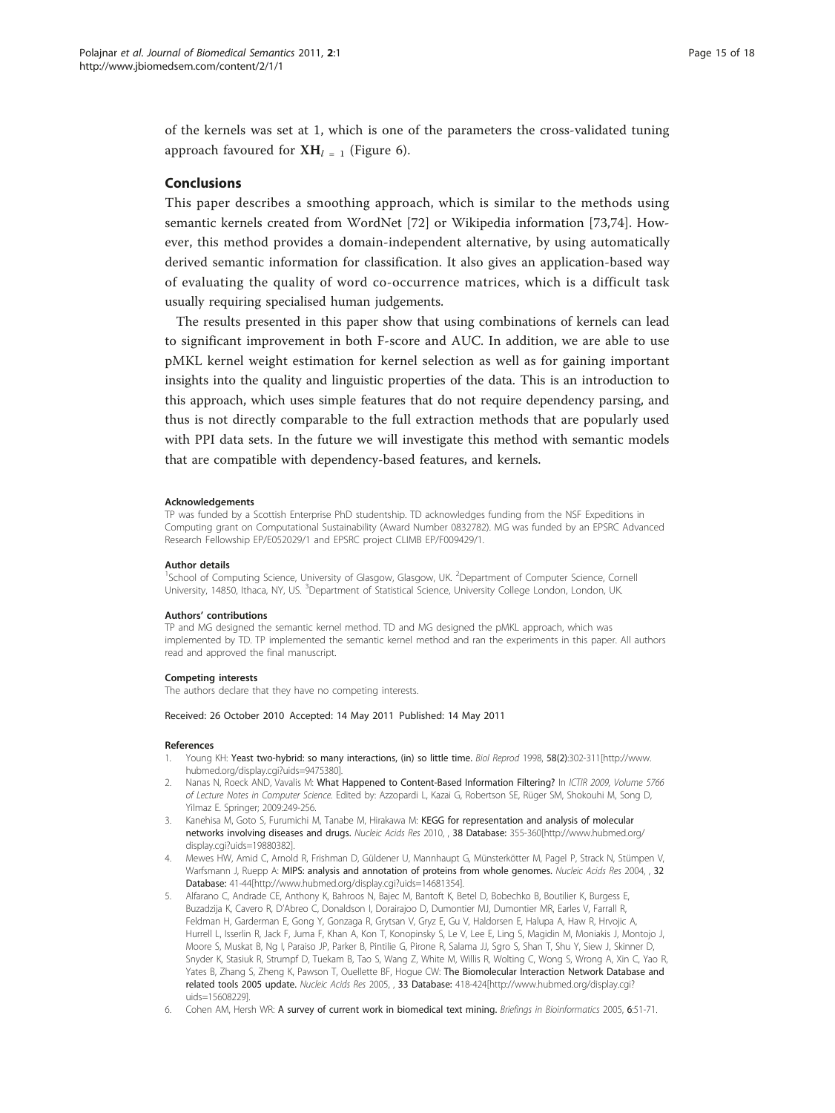<span id="page-14-0"></span>of the kernels was set at 1, which is one of the parameters the cross-validated tuning approach favoured for  $XH_{l} = 1$  (Figure [6](#page-11-0)).

# Conclusions

This paper describes a smoothing approach, which is similar to the methods using semantic kernels created from WordNet [\[72](#page-16-0)] or Wikipedia information [\[73](#page-16-0),[74\]](#page-17-0). However, this method provides a domain-independent alternative, by using automatically derived semantic information for classification. It also gives an application-based way of evaluating the quality of word co-occurrence matrices, which is a difficult task usually requiring specialised human judgements.

The results presented in this paper show that using combinations of kernels can lead to significant improvement in both F-score and AUC. In addition, we are able to use pMKL kernel weight estimation for kernel selection as well as for gaining important insights into the quality and linguistic properties of the data. This is an introduction to this approach, which uses simple features that do not require dependency parsing, and thus is not directly comparable to the full extraction methods that are popularly used with PPI data sets. In the future we will investigate this method with semantic models that are compatible with dependency-based features, and kernels.

#### Acknowledgements

TP was funded by a Scottish Enterprise PhD studentship. TD acknowledges funding from the NSF Expeditions in Computing grant on Computational Sustainability (Award Number 0832782). MG was funded by an EPSRC Advanced Research Fellowship EP/E052029/1 and EPSRC project CLIMB EP/F009429/1.

#### Author details

<sup>1</sup>School of Computing Science, University of Glasgow, Glasgow, UK. <sup>2</sup>Department of Computer Science, Cornell University, 14850, Ithaca, NY, US. <sup>3</sup>Department of Statistical Science, University College London, London, UK

#### Authors' contributions

TP and MG designed the semantic kernel method. TD and MG designed the pMKL approach, which was implemented by TD. TP implemented the semantic kernel method and ran the experiments in this paper. All authors read and approved the final manuscript.

#### Competing interests

The authors declare that they have no competing interests.

### Received: 26 October 2010 Accepted: 14 May 2011 Published: 14 May 2011

#### References

- 1. Young KH: [Yeast two-hybrid: so many interactions, \(in\) so little time.](http://www.ncbi.nlm.nih.gov/pubmed/9475380?dopt=Abstract) Biol Reprod 1998, 58(2):302-311[\[http://www.](http://www.hubmed.org/display.cgi?uids=9475380) [hubmed.org/display.cgi?uids=9475380\]](http://www.hubmed.org/display.cgi?uids=9475380).
- 2. Nanas N, Roeck AND, Vavalis M: What Happened to Content-Based Information Filtering? In ICTIR 2009, Volume 5766 of Lecture Notes in Computer Science. Edited by: Azzopardi L, Kazai G, Robertson SE, Rüger SM, Shokouhi M, Song D, Yilmaz E. Springer; 2009:249-256.
- 3. Kanehisa M, Goto S, Furumichi M, Tanabe M, Hirakawa M: KEGG for representation and analysis of molecular networks involving diseases and drugs. Nucleic Acids Res 2010, , 38 Database: 355-360[\[http://www.hubmed.org/](http://www.hubmed.org/display.cgi?uids=19880382) [display.cgi?uids=19880382](http://www.hubmed.org/display.cgi?uids=19880382)].
- 4. Mewes HW, Amid C, Arnold R, Frishman D, Güldener U, Mannhaupt G, Münsterkötter M, Pagel P, Strack N, Stümpen V, Warfsmann J, Ruepp A: MIPS: analysis and annotation of proteins from whole genomes. Nucleic Acids Res 2004, , 32 Database: 41-44[\[http://www.hubmed.org/display.cgi?uids=14681354](http://www.hubmed.org/display.cgi?uids=14681354)].
- 5. Alfarano C, Andrade CE, Anthony K, Bahroos N, Bajec M, Bantoft K, Betel D, Bobechko B, Boutilier K, Burgess E, Buzadzija K, Cavero R, D'Abreo C, Donaldson I, Dorairajoo D, Dumontier MJ, Dumontier MR, Earles V, Farrall R, Feldman H, Garderman E, Gong Y, Gonzaga R, Grytsan V, Gryz E, Gu V, Haldorsen E, Halupa A, Haw R, Hrvojic A, Hurrell L, Isserlin R, Jack F, Juma F, Khan A, Kon T, Konopinsky S, Le V, Lee E, Ling S, Magidin M, Moniakis J, Montojo J, Moore S, Muskat B, Ng I, Paraiso JP, Parker B, Pintilie G, Pirone R, Salama JJ, Sgro S, Shan T, Shu Y, Siew J, Skinner D, Snyder K, Stasiuk R, Strumpf D, Tuekam B, Tao S, Wang Z, White M, Willis R, Wolting C, Wong S, Wrong A, Xin C, Yao R, Yates B, Zhang S, Zheng K, Pawson T, Ouellette BF, Hogue CW: The Biomolecular Interaction Network Database and related tools 2005 update. Nucleic Acids Res 2005, , 33 Database: 418-424[\[http://www.hubmed.org/display.cgi?](http://www.hubmed.org/display.cgi?uids=15608229) [uids=15608229\]](http://www.hubmed.org/display.cgi?uids=15608229).
- 6. Cohen AM, Hersh WR: A survey of current work in biomedical text mining. Briefings in Bioinformatics 2005, 6:51-71.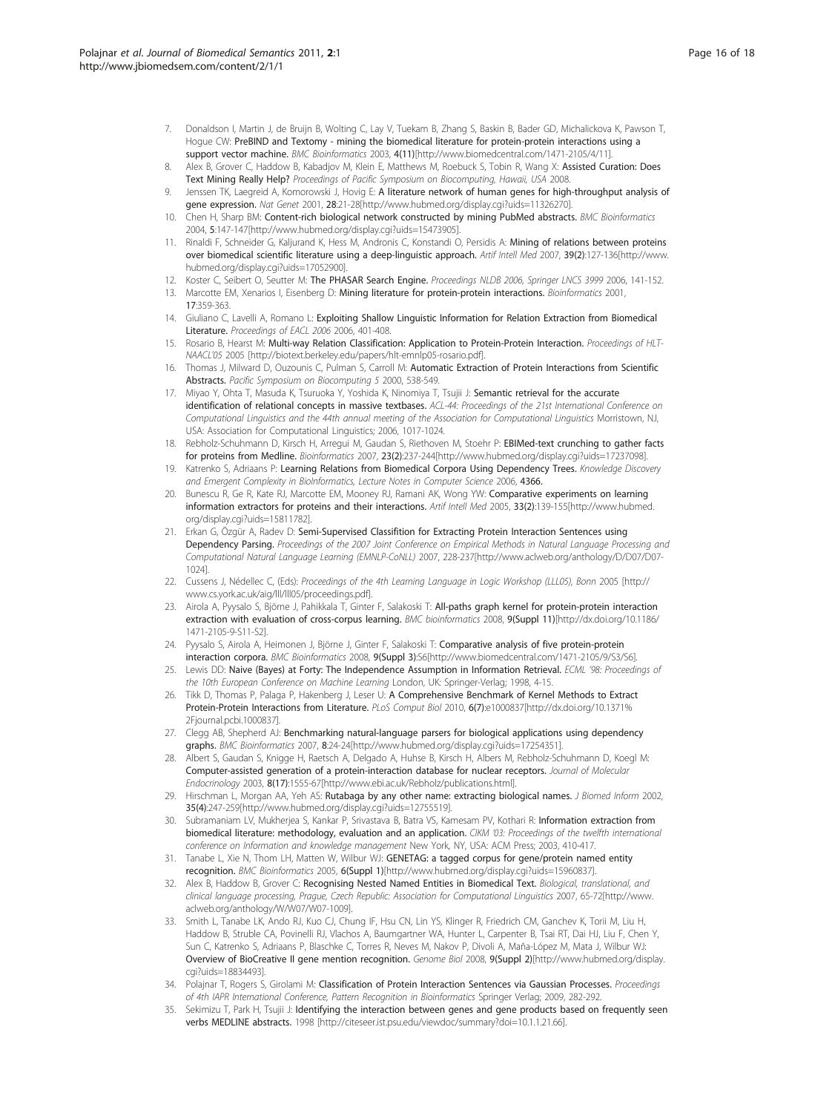- <span id="page-15-0"></span>7. Donaldson I, Martin J, de Bruijn B, Wolting C, Lay V, Tuekam B, Zhang S, Baskin B, Bader GD, Michalickova K, Pawson T, Hogue CW: PreBIND and Textomy - mining the biomedical literature for protein-protein interactions using a support vector machine. BMC Bioinformatics 2003, 4(11)[<http://www.biomedcentral.com/1471-2105/4/11>].
- 8. Alex B, Grover C, Haddow B, Kabadjov M, Klein E, Matthews M, Roebuck S, Tobin R, Wang X: Assisted Curation: Does Text Mining Really Help? Proceedings of Pacific Symposium on Biocomputing, Hawaii, USA 2008.
- 9. Jenssen TK, Laegreid A, Komorowski J, Hovig E: [A literature network of human genes for high-throughput analysis of](http://www.ncbi.nlm.nih.gov/pubmed/11326270?dopt=Abstract) [gene expression.](http://www.ncbi.nlm.nih.gov/pubmed/11326270?dopt=Abstract) Nat Genet 2001, 28:21-28[[http://www.hubmed.org/display.cgi?uids=11326270\]](http://www.hubmed.org/display.cgi?uids=11326270).
- 10. Chen H, Sharp BM: [Content-rich biological network constructed by mining PubMed abstracts.](http://www.ncbi.nlm.nih.gov/pubmed/15473905?dopt=Abstract) BMC Bioinformatics 2004, 5:147-147[[http://www.hubmed.org/display.cgi?uids=15473905\]](http://www.hubmed.org/display.cgi?uids=15473905).
- 11. Rinaldi F, Schneider G, Kaljurand K, Hess M, Andronis C, Konstandi O, Persidis A: [Mining of relations between proteins](http://www.ncbi.nlm.nih.gov/pubmed/17052900?dopt=Abstract) [over biomedical scientific literature using a deep-linguistic approach.](http://www.ncbi.nlm.nih.gov/pubmed/17052900?dopt=Abstract) Artif Intell Med 2007, 39(2):127-136[[http://www.](http://www.hubmed.org/display.cgi?uids=17052900) [hubmed.org/display.cgi?uids=17052900\]](http://www.hubmed.org/display.cgi?uids=17052900).
- 12. Koster C, Seibert O, Seutter M: The PHASAR Search Engine. Proceedings NLDB 2006, Springer LNCS 3999 2006, 141-152.
- 13. Marcotte EM, Xenarios I, Eisenberg D: [Mining literature for protein-protein interactions.](http://www.ncbi.nlm.nih.gov/pubmed/11301305?dopt=Abstract) Bioinformatics 2001, 17:359-363.
- 14. Giuliano C, Lavelli A, Romano L: Exploiting Shallow Linguistic Information for Relation Extraction from Biomedical Literature. Proceedings of EACL 2006 2006, 401-408.
- 15. Rosario B, Hearst M: Multi-way Relation Classification: Application to Protein-Protein Interaction. Proceedings of HLT-NAACL'05 2005 [[http://biotext.berkeley.edu/papers/hlt-emnlp05-rosario.pdf\]](http://biotext.berkeley.edu/papers/hlt-emnlp05-rosario.pdf).
- 16. Thomas J, Milward D, Ouzounis C, Pulman S, Carroll M: Automatic Extraction of Protein Interactions from Scientific Abstracts. Pacific Symposium on Biocomputing 5 2000, 538-549.
- 17. Miyao Y, Ohta T, Masuda K, Tsuruoka Y, Yoshida K, Ninomiya T, Tsujii J: Semantic retrieval for the accurate identification of relational concepts in massive textbases. ACL-44: Proceedings of the 21st International Conference on Computational Linguistics and the 44th annual meeting of the Association for Computational Linguistics Morristown, NJ, USA: Association for Computational Linguistics; 2006, 1017-1024.
- 18. Rebholz-Schuhmann D, Kirsch H, Arregui M, Gaudan S, Riethoven M, Stoehr P: EBIMed-text crunching to gather facts for proteins from Medline. Bioinformatics 2007, 23(2):237-244[<http://www.hubmed.org/display.cgi?uids=17237098>].
- 19. Katrenko S, Adriaans P: Learning Relations from Biomedical Corpora Using Dependency Trees. Knowledge Discovery and Emergent Complexity in BioInformatics, Lecture Notes in Computer Science 2006, 4366.
- 20. Bunescu R, Ge R, Kate RJ, Marcotte EM, Mooney RJ, Ramani AK, Wong YW: [Comparative experiments on learning](http://www.ncbi.nlm.nih.gov/pubmed/15811782?dopt=Abstract) [information extractors for proteins and their interactions.](http://www.ncbi.nlm.nih.gov/pubmed/15811782?dopt=Abstract) Artif Intell Med 2005, 33(2):139-155[\[http://www.hubmed.](http://www.hubmed.org/display.cgi?uids=15811782) [org/display.cgi?uids=15811782\]](http://www.hubmed.org/display.cgi?uids=15811782).
- 21. Erkan G, Özgür A, Radev D: Semi-Supervised Classifition for Extracting Protein Interaction Sentences using Dependency Parsing. Proceedings of the 2007 Joint Conference on Empirical Methods in Natural Language Processing and Computational Natural Language Learning (EMNLP-CoNLL) 2007, 228-237[\[http://www.aclweb.org/anthology/D/D07/D07-](http://www.aclweb.org/anthology/D/D07/D07-1024) [1024](http://www.aclweb.org/anthology/D/D07/D07-1024)].
- 22. Cussens J, Nédellec C, (Eds): Proceedings of the 4th Learning Language in Logic Workshop (LLL05), Bonn 2005 [[http://](http://www.cs.york.ac.uk/aig/lll/lll05/proceedings.pdf) [www.cs.york.ac.uk/aig/lll/lll05/proceedings.pdf\]](http://www.cs.york.ac.uk/aig/lll/lll05/proceedings.pdf).
- 23. Airola A, Pyysalo S, Björne J, Pahikkala T, Ginter F, Salakoski T: All-paths graph kernel for protein-protein interaction extraction with evaluation of cross-corpus learning. BMC bioinformatics 2008, 9(Suppl 11)[\[http://dx.doi.org/10.1186/](http://dx.doi.org/10.1186/1471-2105-9-S11-S2) [1471-2105-9-S11-S2](http://dx.doi.org/10.1186/1471-2105-9-S11-S2)].
- 24. Pyysalo S, Airola A, Heimonen J, Björne J, Ginter F, Salakoski T: [Comparative analysis of five protein-protein](http://www.ncbi.nlm.nih.gov/pubmed/19091029?dopt=Abstract) [interaction corpora.](http://www.ncbi.nlm.nih.gov/pubmed/19091029?dopt=Abstract) BMC Bioinformatics 2008, 9(Suppl 3):S6[[http://www.biomedcentral.com/1471-2105/9/S3/S6\]](http://www.biomedcentral.com/1471-2105/9/S3/S6).
- 25. Lewis DD: [Naive \(Bayes\) at Forty: The Independence Assumption in Information Retrieval.](http://www.ncbi.nlm.nih.gov/pubmed/21299857?dopt=Abstract) ECML '98: Proceedings of the 10th European Conference on Machine Learning London, UK: Springer-Verlag; 1998, 4-15.
- 26. Tikk D, Thomas P, Palaga P, Hakenberg J, Leser U: [A Comprehensive Benchmark of Kernel Methods to Extract](http://www.ncbi.nlm.nih.gov/pubmed/20617200?dopt=Abstract) [Protein-Protein Interactions from Literature.](http://www.ncbi.nlm.nih.gov/pubmed/20617200?dopt=Abstract) PLoS Comput Biol 2010, 6(7):e1000837[[http://dx.doi.org/10.1371%](http://dx.doi.org/10.1371%2Fjournal.pcbi.1000837) 2Fiournal.pcbi.1000837].
- 27. Clegg AB, Shepherd AJ: [Benchmarking natural-language parsers for biological applications using dependency](http://www.ncbi.nlm.nih.gov/pubmed/17254351?dopt=Abstract) [graphs.](http://www.ncbi.nlm.nih.gov/pubmed/17254351?dopt=Abstract) BMC Bioinformatics 2007, 8:24-24[[http://www.hubmed.org/display.cgi?uids=17254351\]](http://www.hubmed.org/display.cgi?uids=17254351).
- 28. Albert S, Gaudan S, Knigge H, Raetsch A, Delgado A, Huhse B, Kirsch H, Albers M, Rebholz-Schuhmann D, Koegl M: Computer-assisted generation of a protein-interaction database for nuclear receptors. Journal of Molecular Endocrinology 2003, 8(17):1555-67[[http://www.ebi.ac.uk/Rebholz/publications.html\]](http://www.ebi.ac.uk/Rebholz/publications.html).
- 29. Hirschman L, Morgan AA, Yeh AS: [Rutabaga by any other name: extracting biological names.](http://www.ncbi.nlm.nih.gov/pubmed/12755519?dopt=Abstract) J Biomed Inform 2002, 35(4):247-259[[http://www.hubmed.org/display.cgi?uids=12755519\]](http://www.hubmed.org/display.cgi?uids=12755519).
- 30. Subramaniam LV, Mukherjea S, Kankar P, Srivastava B, Batra VS, Kamesam PV, Kothari R: Information extraction from biomedical literature: methodology, evaluation and an application. CIKM '03: Proceedings of the twelfth international conference on Information and knowledge management New York, NY, USA: ACM Press; 2003, 410-417.
- 31. Tanabe L, Xie N, Thom LH, Matten W, Wilbur WJ: GENETAG: a tagged corpus for gene/protein named entity recognition. BMC Bioinformatics 2005, 6(Suppl 1)[[http://www.hubmed.org/display.cgi?uids=15960837\]](http://www.hubmed.org/display.cgi?uids=15960837).
- 32. Alex B, Haddow B, Grover C: Recognising Nested Named Entities in Biomedical Text. Biological, translational, and clinical language processing, Prague, Czech Republic: Association for Computational Linguistics 2007, 65-72[[http://www.](http://www.aclweb.org/anthology/W/W07/W07-1009) [aclweb.org/anthology/W/W07/W07-1009\]](http://www.aclweb.org/anthology/W/W07/W07-1009).
- 33. Smith L, Tanabe LK, Ando RJ, Kuo CJ, Chung IF, Hsu CN, Lin YS, Klinger R, Friedrich CM, Ganchev K, Torii M, Liu H, Haddow B, Struble CA, Povinelli RJ, Vlachos A, Baumgartner WA, Hunter L, Carpenter B, Tsai RT, Dai HJ, Liu F, Chen Y, Sun C, Katrenko S, Adriaans P, Blaschke C, Torres R, Neves M, Nakov P, Divoli A, Maña-López M, Mata J, Wilbur WJ: Overview of BioCreative II gene mention recognition. Genome Biol 2008, 9(Suppl 2)[[http://www.hubmed.org/display.](http://www.hubmed.org/display.cgi?uids=18834493) [cgi?uids=18834493\]](http://www.hubmed.org/display.cgi?uids=18834493).
- 34. Polajnar T, Rogers S, Girolami M: Classification of Protein Interaction Sentences via Gaussian Processes. Proceedings of 4th IAPR International Conference, Pattern Recognition in Bioinformatics Springer Verlag; 2009, 282-292.
- 35. Sekimizu T, Park H, Tsujii J: Identifying the interaction between genes and gene products based on frequently seen verbs MEDLINE abstracts. 1998 [\[http://citeseer.ist.psu.edu/viewdoc/summary?doi=10.1.1.21.66](http://citeseer.ist.psu.edu/viewdoc/summary?doi=10.1.1.21.66)].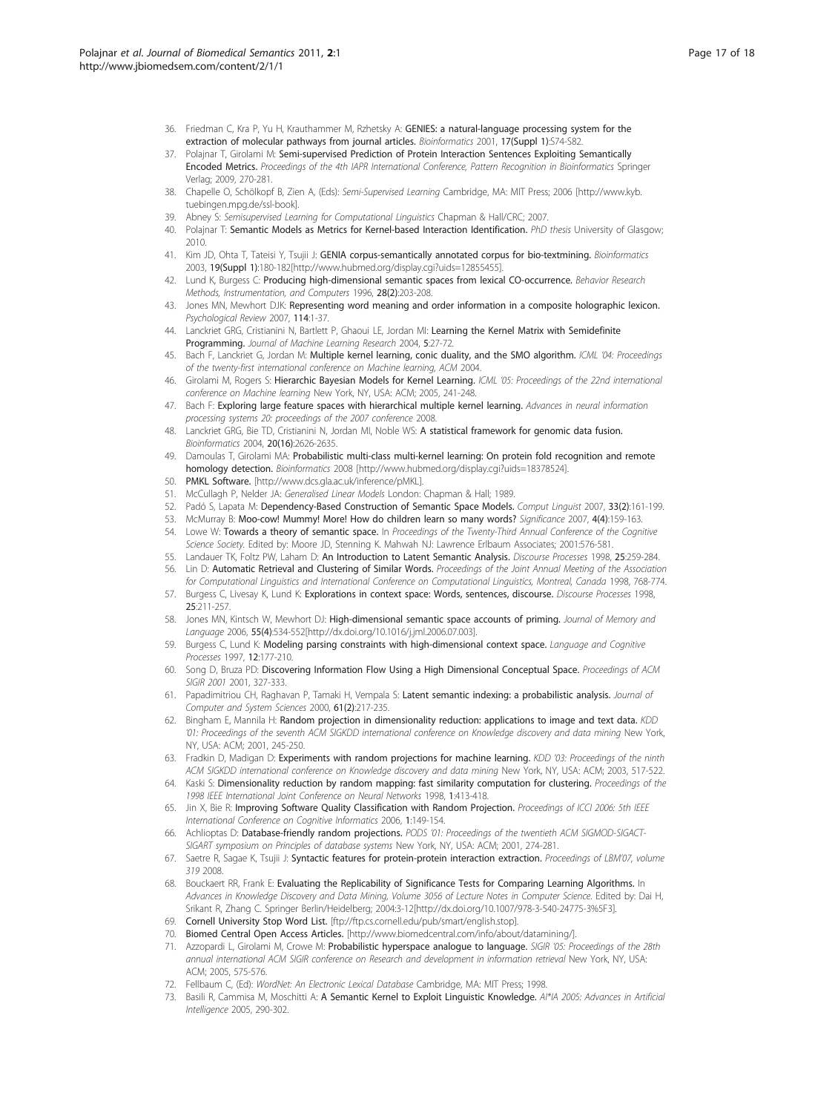- <span id="page-16-0"></span>36. Friedman C, Kra P, Yu H, Krauthammer M, Rzhetsky A: [GENIES: a natural-language processing system for the](http://www.ncbi.nlm.nih.gov/pubmed/11472995?dopt=Abstract) [extraction of molecular pathways from journal articles.](http://www.ncbi.nlm.nih.gov/pubmed/11472995?dopt=Abstract) Bioinformatics 2001, 17(Suppl 1):S74-S82.
- 37. Polajnar T, Girolami M: Semi-supervised Prediction of Protein Interaction Sentences Exploiting Semantically Encoded Metrics. Proceedings of the 4th IAPR International Conference, Pattern Recognition in Bioinformatics Springer Verlag; 2009, 270-281.
- 38. Chapelle O, Schölkopf B, Zien A, (Eds): Semi-Supervised Learning Cambridge, MA: MIT Press; 2006 [[http://www.kyb.](http://www.kyb.tuebingen.mpg.de/ssl-book) [tuebingen.mpg.de/ssl-book\]](http://www.kyb.tuebingen.mpg.de/ssl-book).
- 39. Abney S: Semisupervised Learning for Computational Linguistics Chapman & Hall/CRC; 2007.
- 40. Polajnar T: Semantic Models as Metrics for Kernel-based Interaction Identification. PhD thesis University of Glasgow; 2010.
- 41. Kim JD, Ohta T, Tateisi Y, Tsujii J: GENIA corpus-semantically annotated corpus for bio-textmining. Bioinformatics 2003, 19(Suppl 1):180-182[\[http://www.hubmed.org/display.cgi?uids=12855455](http://www.hubmed.org/display.cgi?uids=12855455)].
- 42. Lund K, Burgess C: Producing high-dimensional semantic spaces from lexical CO-occurrence. Behavior Research Methods, Instrumentation, and Computers 1996, 28(2):203-208.
- 43. Jones MN, Mewhort DJK: [Representing word meaning and order information in a composite holographic lexicon.](http://www.ncbi.nlm.nih.gov/pubmed/17227180?dopt=Abstract) Psychological Review 2007, 114:1-37.
- 44. Lanckriet GRG, Cristianini N, Bartlett P, Ghaoui LE, Jordan MI: Learning the Kernel Matrix with Semidefinite Programming. Journal of Machine Learning Research 2004, 5:27-72.
- 45. Bach F, Lanckriet G, Jordan M: [Multiple kernel learning, conic duality, and the SMO algorithm.](http://www.ncbi.nlm.nih.gov/pubmed/19623491?dopt=Abstract) ICML '04: Proceedings of the twenty-first international conference on Machine learning, ACM 2004.
- 46. Girolami M, Rogers S: [Hierarchic Bayesian Models for Kernel Learning.](http://www.ncbi.nlm.nih.gov/pubmed/19623491?dopt=Abstract) ICML '05: Proceedings of the 22nd international conference on Machine learning New York, NY, USA: ACM; 2005, 241-248.
- 47. Bach F: Exploring large feature spaces with hierarchical multiple kernel learning. Advances in neural information processing systems 20: proceedings of the 2007 conference 2008.
- 48. Lanckriet GRG, Bie TD, Cristianini N, Jordan MI, Noble WS: [A statistical framework for genomic data fusion.](http://www.ncbi.nlm.nih.gov/pubmed/15130933?dopt=Abstract) Bioinformatics 2004, 20(16):2626-2635.
- 49. Damoulas T, Girolami MA: Probabilistic multi-class multi-kernel learning: On protein fold recognition and remote homology detection. Bioinformatics 2008 [[http://www.hubmed.org/display.cgi?uids=18378524\]](http://www.hubmed.org/display.cgi?uids=18378524).
- 50. PMKL Software. [\[http://www.dcs.gla.ac.uk/inference/pMKL](http://www.dcs.gla.ac.uk/inference/pMKL)].
- 51. McCullagh P, Nelder JA: Generalised Linear Models London: Chapman & Hall; 1989.
- 52. Padó S, Lapata M: Dependency-Based Construction of Semantic Space Models. Comput Linguist 2007, 33(2):161-199.
- 53. McMurray B: Moo-cow! Mummy! More! How do children learn so many words? Significance 2007, 4(4):159-163.
- 54. Lowe W: Towards a theory of semantic space. In Proceedings of the Twenty-Third Annual Conference of the Cognitive Science Society. Edited by: Moore JD, Stenning K. Mahwah NJ: Lawrence Erlbaum Associates; 2001:576-581.
- Landauer TK, Foltz PW, Laham D: An Introduction to Latent Semantic Analysis. Discourse Processes 1998, 25:259-284.
- 56. Lin D: Automatic Retrieval and Clustering of Similar Words. Proceedings of the Joint Annual Meeting of the Association for Computational Linguistics and International Conference on Computational Linguistics, Montreal, Canada 1998, 768-774.
- 57. Burgess C, Livesay K, Lund K: Explorations in context space: Words, sentences, discourse. Discourse Processes 1998, 25:211-257.
- 58. Jones MN, Kintsch W, Mewhort DJ: High-dimensional semantic space accounts of priming. Journal of Memory and Language 2006, 55(4):534-552[[http://dx.doi.org/10.1016/j.jml.2006.07.003\]](http://dx.doi.org/10.1016/j.jml.2006.07.003).
- 59. Burgess C, Lund K: Modeling parsing constraints with high-dimensional context space. Language and Cognitive Processes 1997, 12:177-210.
- 60. Song D, Bruza PD: Discovering Information Flow Using a High Dimensional Conceptual Space. Proceedings of ACM SIGIR 2001 2001, 327-333.
- 61. Papadimitriou CH, Raghavan P, Tamaki H, Vempala S: Latent semantic indexing: a probabilistic analysis. Journal of Computer and System Sciences 2000, 61(2):217-235.
- 62. Bingham E, Mannila H: [Random projection in dimensionality reduction: applications to image and text data.](http://www.ncbi.nlm.nih.gov/pubmed/20162438?dopt=Abstract) KDD '01: Proceedings of the seventh ACM SIGKDD international conference on Knowledge discovery and data mining New York, NY, USA: ACM; 2001, 245-250.
- 63. Fradkin D, Madigan D: [Experiments with random projections for machine learning.](http://www.ncbi.nlm.nih.gov/pubmed/20162438?dopt=Abstract) KDD '03: Proceedings of the ninth ACM SIGKDD international conference on Knowledge discovery and data mining New York, NY, USA: ACM; 2003, 517-522.
- 64. Kaski S: Dimensionality reduction by random mapping: fast similarity computation for clustering. Proceedings of the 1998 IEEE International Joint Conference on Neural Networks 1998, 1:413-418.
- 65. Jin X, Bie R: Improving Software Quality Classification with Random Projection. Proceedings of ICCI 2006: 5th IEEE International Conference on Cognitive Informatics 2006, 1:149-154.
- 66. Achlioptas D: [Database-friendly random projections.](http://www.ncbi.nlm.nih.gov/pubmed/21565530?dopt=Abstract) PODS '01: Proceedings of the twentieth ACM SIGMOD-SIGACT-SIGART symposium on Principles of database systems New York, NY, USA: ACM; 2001, 274-281.
- 67. Saetre R, Sagae K, Tsujii J: Syntactic features for protein-protein interaction extraction. Proceedings of LBM'07, volume 319 2008.
- 68. Bouckaert RR, Frank E: Evaluating the Replicability of Significance Tests for Comparing Learning Algorithms. In Advances in Knowledge Discovery and Data Mining, Volume 3056 of Lecture Notes in Computer Science. Edited by: Dai H, Srikant R, Zhang C. Springer Berlin/Heidelberg; 2004:3-12[<http://dx.doi.org/10.1007/978-3-540-24775-3%5F3>].
- 69. Cornell University Stop Word List. [[ftp://ftp.cs.cornell.edu/pub/smart/english.stop\]](ftp://ftp.cs.cornell.edu/pub/smart/english.stop).
- 70. Biomed Central Open Access Articles. [\[http://www.biomedcentral.com/info/about/datamining/\]](http://www.biomedcentral.com/info/about/datamining/).
- 71. Azzopardi L, Girolami M, Crowe M: Probabilistic hyperspace analogue to language. SIGIR '05: Proceedings of the 28th annual international ACM SIGIR conference on Research and development in information retrieval New York, NY, USA: ACM; 2005, 575-576.
- 72. Fellbaum C, (Ed): WordNet: An Electronic Lexical Database Cambridge, MA: MIT Press; 1998.
- 73. Basili R, Cammisa M, Moschitti A: A Semantic Kernel to Exploit Linguistic Knowledge. AI\*IA 2005: Advances in Artificial Intelligence 2005, 290-302.